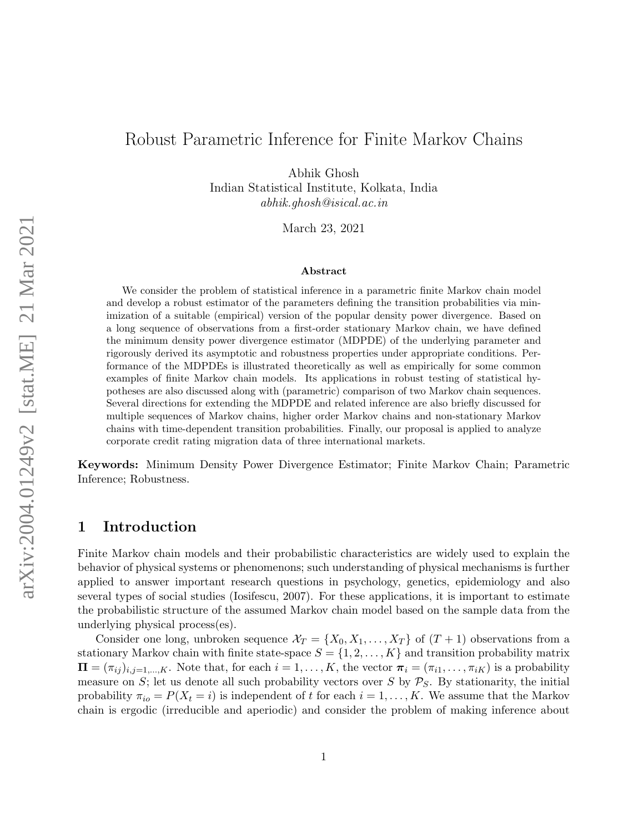# Robust Parametric Inference for Finite Markov Chains

Abhik Ghosh Indian Statistical Institute, Kolkata, India

abhik.ghosh@isical.ac.in

March 23, 2021

#### Abstract

We consider the problem of statistical inference in a parametric finite Markov chain model and develop a robust estimator of the parameters defining the transition probabilities via minimization of a suitable (empirical) version of the popular density power divergence. Based on a long sequence of observations from a first-order stationary Markov chain, we have defined the minimum density power divergence estimator (MDPDE) of the underlying parameter and rigorously derived its asymptotic and robustness properties under appropriate conditions. Performance of the MDPDEs is illustrated theoretically as well as empirically for some common examples of finite Markov chain models. Its applications in robust testing of statistical hypotheses are also discussed along with (parametric) comparison of two Markov chain sequences. Several directions for extending the MDPDE and related inference are also briefly discussed for multiple sequences of Markov chains, higher order Markov chains and non-stationary Markov chains with time-dependent transition probabilities. Finally, our proposal is applied to analyze corporate credit rating migration data of three international markets.

Keywords: Minimum Density Power Divergence Estimator; Finite Markov Chain; Parametric Inference; Robustness.

## 1 Introduction

Finite Markov chain models and their probabilistic characteristics are widely used to explain the behavior of physical systems or phenomenons; such understanding of physical mechanisms is further applied to answer important research questions in psychology, genetics, epidemiology and also several types of social studies (Iosifescu, 2007). For these applications, it is important to estimate the probabilistic structure of the assumed Markov chain model based on the sample data from the underlying physical process(es).

Consider one long, unbroken sequence  $\mathcal{X}_T = \{X_0, X_1, \ldots, X_T\}$  of  $(T+1)$  observations from a stationary Markov chain with finite state-space  $S = \{1, 2, \ldots, K\}$  and transition probability matrix  $\Pi = (\pi_{ij})_{i,j=1,\dots,K}$ . Note that, for each  $i = 1,\dots,K$ , the vector  $\pi_i = (\pi_{i1},\dots,\pi_{iK})$  is a probability measure on S; let us denote all such probability vectors over S by  $P_S$ . By stationarity, the initial probability  $\pi_{io} = P(X_t = i)$  is independent of t for each  $i = 1, ..., K$ . We assume that the Markov chain is ergodic (irreducible and aperiodic) and consider the problem of making inference about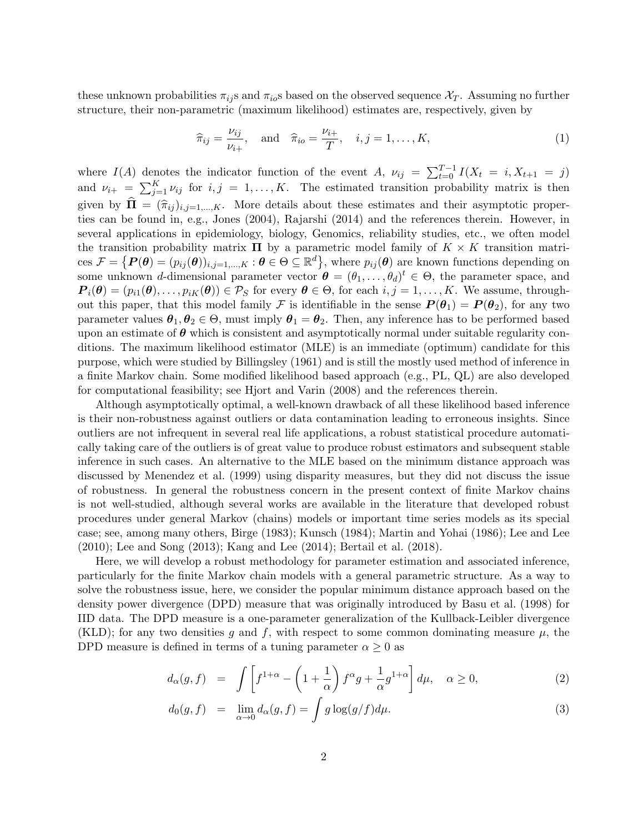these unknown probabilities  $\pi_{ij}$  and  $\pi_{io}$  based on the observed sequence  $\chi_T$ . Assuming no further structure, their non-parametric (maximum likelihood) estimates are, respectively, given by

$$
\widehat{\pi}_{ij} = \frac{\nu_{ij}}{\nu_{i+}}, \quad \text{and} \quad \widehat{\pi}_{io} = \frac{\nu_{i+}}{T}, \quad i, j = 1, \dots, K,
$$
\n
$$
(1)
$$

where  $I(A)$  denotes the indicator function of the event A,  $\nu_{ij} = \sum_{t=0}^{T-1} I(X_t = i, X_{t+1} = j)$ and  $\nu_{i+} = \sum_{j=1}^{K} \nu_{ij}$  for  $i, j = 1, ..., K$ . The estimated transition probability matrix is then given by  $\mathbf{\hat{\Pi}} = (\hat{\pi}_{ij})_{i,j=1,\dots,K}$ . More details about these estimates and their asymptotic properties can be found in, e.g., Jones (2004), Rajarshi (2014) and the references therein. However, in several applications in epidemiology, biology, Genomics, reliability studies, etc., we often model the transition probability matrix  $\Pi$  by a parametric model family of  $K \times K$  transition matri- $\text{ces } \mathcal{F} = \{P(\theta) = (p_{ij}(\theta))_{i,j=1,\dots,K} : \theta \in \Theta \subseteq \mathbb{R}^d\},\text{ where } p_{ij}(\theta) \text{ are known functions depending on } \mathcal{F} = \{P(\theta) = (p_{ij}(\theta))_{i,j=1,\dots,K} : \theta \in \Theta \subseteq \mathbb{R}^d\}$ some unknown d-dimensional parameter vector  $\boldsymbol{\theta} = (\theta_1, \dots, \theta_d)^t \in \Theta$ , the parameter space, and  $P_i(\theta) = (p_{i1}(\theta), \ldots, p_{iK}(\theta)) \in \mathcal{P}_S$  for every  $\theta \in \Theta$ , for each  $i, j = 1, \ldots, K$ . We assume, throughout this paper, that this model family F is identifiable in the sense  $P(\theta_1) = P(\theta_2)$ , for any two parameter values  $\theta_1, \theta_2 \in \Theta$ , must imply  $\theta_1 = \theta_2$ . Then, any inference has to be performed based upon an estimate of  $\theta$  which is consistent and asymptotically normal under suitable regularity conditions. The maximum likelihood estimator (MLE) is an immediate (optimum) candidate for this purpose, which were studied by Billingsley (1961) and is still the mostly used method of inference in a finite Markov chain. Some modified likelihood based approach (e.g., PL, QL) are also developed for computational feasibility; see Hjort and Varin (2008) and the references therein.

Although asymptotically optimal, a well-known drawback of all these likelihood based inference is their non-robustness against outliers or data contamination leading to erroneous insights. Since outliers are not infrequent in several real life applications, a robust statistical procedure automatically taking care of the outliers is of great value to produce robust estimators and subsequent stable inference in such cases. An alternative to the MLE based on the minimum distance approach was discussed by Menendez et al. (1999) using disparity measures, but they did not discuss the issue of robustness. In general the robustness concern in the present context of finite Markov chains is not well-studied, although several works are available in the literature that developed robust procedures under general Markov (chains) models or important time series models as its special case; see, among many others, Birge (1983); Kunsch (1984); Martin and Yohai (1986); Lee and Lee (2010); Lee and Song (2013); Kang and Lee (2014); Bertail et al. (2018).

Here, we will develop a robust methodology for parameter estimation and associated inference, particularly for the finite Markov chain models with a general parametric structure. As a way to solve the robustness issue, here, we consider the popular minimum distance approach based on the density power divergence (DPD) measure that was originally introduced by Basu et al. (1998) for IID data. The DPD measure is a one-parameter generalization of the Kullback-Leibler divergence (KLD); for any two densities g and f, with respect to some common dominating measure  $\mu$ , the DPD measure is defined in terms of a tuning parameter  $\alpha \geq 0$  as

$$
d_{\alpha}(g,f) = \int \left[ f^{1+\alpha} - \left(1 + \frac{1}{\alpha}\right) f^{\alpha} g + \frac{1}{\alpha} g^{1+\alpha} \right] d\mu, \quad \alpha \ge 0,
$$
 (2)

$$
d_0(g, f) = \lim_{\alpha \to 0} d_\alpha(g, f) = \int g \log(g/f) d\mu.
$$
 (3)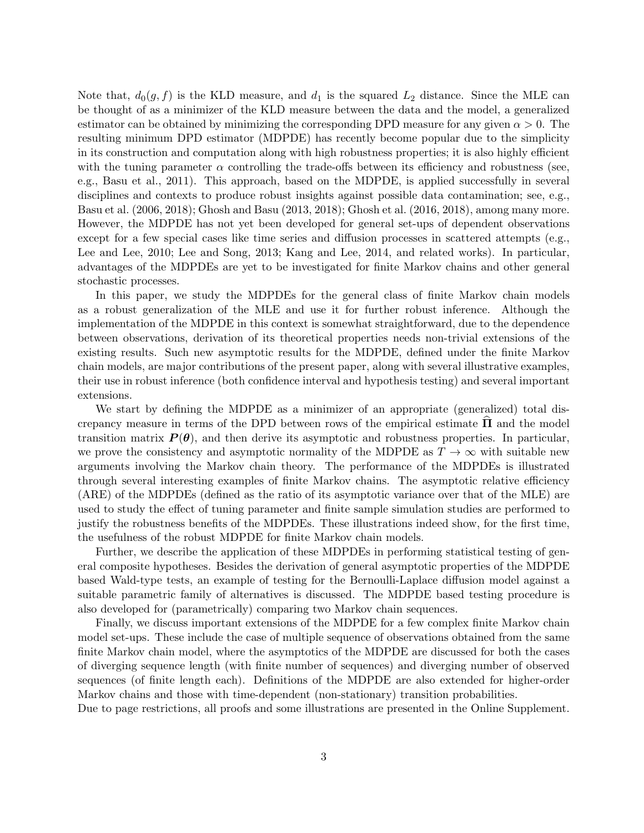Note that,  $d_0(g, f)$  is the KLD measure, and  $d_1$  is the squared  $L_2$  distance. Since the MLE can be thought of as a minimizer of the KLD measure between the data and the model, a generalized estimator can be obtained by minimizing the corresponding DPD measure for any given  $\alpha > 0$ . The resulting minimum DPD estimator (MDPDE) has recently become popular due to the simplicity in its construction and computation along with high robustness properties; it is also highly efficient with the tuning parameter  $\alpha$  controlling the trade-offs between its efficiency and robustness (see, e.g., Basu et al., 2011). This approach, based on the MDPDE, is applied successfully in several disciplines and contexts to produce robust insights against possible data contamination; see, e.g., Basu et al. (2006, 2018); Ghosh and Basu (2013, 2018); Ghosh et al. (2016, 2018), among many more. However, the MDPDE has not yet been developed for general set-ups of dependent observations except for a few special cases like time series and diffusion processes in scattered attempts (e.g., Lee and Lee, 2010; Lee and Song, 2013; Kang and Lee, 2014, and related works). In particular, advantages of the MDPDEs are yet to be investigated for finite Markov chains and other general stochastic processes.

In this paper, we study the MDPDEs for the general class of finite Markov chain models as a robust generalization of the MLE and use it for further robust inference. Although the implementation of the MDPDE in this context is somewhat straightforward, due to the dependence between observations, derivation of its theoretical properties needs non-trivial extensions of the existing results. Such new asymptotic results for the MDPDE, defined under the finite Markov chain models, are major contributions of the present paper, along with several illustrative examples, their use in robust inference (both confidence interval and hypothesis testing) and several important extensions.

We start by defining the MDPDE as a minimizer of an appropriate (generalized) total discrepancy measure in terms of the DPD between rows of the empirical estimate  $\Pi$  and the model transition matrix  $P(\theta)$ , and then derive its asymptotic and robustness properties. In particular, we prove the consistency and asymptotic normality of the MDPDE as  $T \to \infty$  with suitable new arguments involving the Markov chain theory. The performance of the MDPDEs is illustrated through several interesting examples of finite Markov chains. The asymptotic relative efficiency (ARE) of the MDPDEs (defined as the ratio of its asymptotic variance over that of the MLE) are used to study the effect of tuning parameter and finite sample simulation studies are performed to justify the robustness benefits of the MDPDEs. These illustrations indeed show, for the first time, the usefulness of the robust MDPDE for finite Markov chain models.

Further, we describe the application of these MDPDEs in performing statistical testing of general composite hypotheses. Besides the derivation of general asymptotic properties of the MDPDE based Wald-type tests, an example of testing for the Bernoulli-Laplace diffusion model against a suitable parametric family of alternatives is discussed. The MDPDE based testing procedure is also developed for (parametrically) comparing two Markov chain sequences.

Finally, we discuss important extensions of the MDPDE for a few complex finite Markov chain model set-ups. These include the case of multiple sequence of observations obtained from the same finite Markov chain model, where the asymptotics of the MDPDE are discussed for both the cases of diverging sequence length (with finite number of sequences) and diverging number of observed sequences (of finite length each). Definitions of the MDPDE are also extended for higher-order Markov chains and those with time-dependent (non-stationary) transition probabilities.

Due to page restrictions, all proofs and some illustrations are presented in the Online Supplement.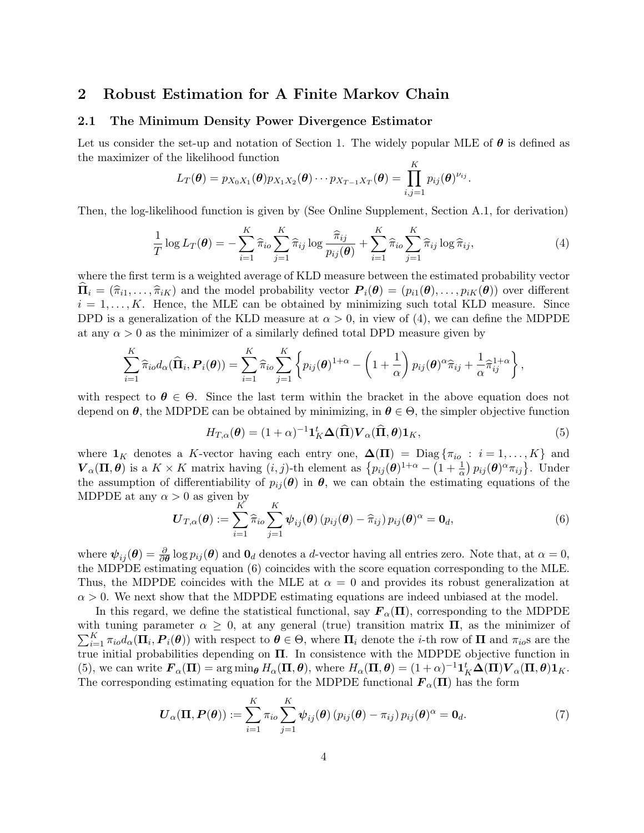## 2 Robust Estimation for A Finite Markov Chain

#### 2.1 The Minimum Density Power Divergence Estimator

Let us consider the set-up and notation of Section 1. The widely popular MLE of  $\theta$  is defined as the maximizer of the likelihood function  $\overline{\mathcal{K}}$ 

$$
L_T(\boldsymbol{\theta}) = p_{X_0X_1}(\boldsymbol{\theta})p_{X_1X_2}(\boldsymbol{\theta})\cdots p_{X_{T-1}X_T}(\boldsymbol{\theta}) = \prod_{i,j=1}^N p_{ij}(\boldsymbol{\theta})^{\nu_{ij}}.
$$

Then, the log-likelihood function is given by (See Online Supplement, Section A.1, for derivation)

$$
\frac{1}{T}\log L_T(\boldsymbol{\theta}) = -\sum_{i=1}^K \widehat{\pi}_{io} \sum_{j=1}^K \widehat{\pi}_{ij} \log \frac{\widehat{\pi}_{ij}}{p_{ij}(\boldsymbol{\theta})} + \sum_{i=1}^K \widehat{\pi}_{io} \sum_{j=1}^K \widehat{\pi}_{ij} \log \widehat{\pi}_{ij},
$$
\n(4)

where the first term is a weighted average of KLD measure between the estimated probability vector  $\hat{\Pi}_i = (\hat{\pi}_{i1}, \dots, \hat{\pi}_{iK})$  and the model probability vector  $P_i(\theta) = (p_{i1}(\theta), \dots, p_{iK}(\theta))$  over different  $i = 1, \ldots, K$ . Hence, the MLE can be obtained by minimizing such total KLD measure. Since DPD is a generalization of the KLD measure at  $\alpha > 0$ , in view of (4), we can define the MDPDE at any  $\alpha > 0$  as the minimizer of a similarly defined total DPD measure given by

$$
\sum_{i=1}^K \widehat{\pi}_{io} d_{\alpha}(\widehat{\mathbf{\Pi}}_i, \mathbf{P}_i(\boldsymbol{\theta})) = \sum_{i=1}^K \widehat{\pi}_{io} \sum_{j=1}^K \left\{ p_{ij}(\boldsymbol{\theta})^{1+\alpha} - \left(1+\frac{1}{\alpha}\right) p_{ij}(\boldsymbol{\theta})^{\alpha} \widehat{\pi}_{ij} + \frac{1}{\alpha} \widehat{\pi}_{ij}^{1+\alpha} \right\},\,
$$

with respect to  $\theta \in \Theta$ . Since the last term within the bracket in the above equation does not depend on  $\theta$ , the MDPDE can be obtained by minimizing, in  $\theta \in \Theta$ , the simpler objective function

$$
H_{T,\alpha}(\boldsymbol{\theta}) = (1+\alpha)^{-1} \mathbf{1}_K^t \boldsymbol{\Delta}(\widehat{\mathbf{\Pi}}) \boldsymbol{V}_{\alpha}(\widehat{\mathbf{\Pi}}, \boldsymbol{\theta}) \mathbf{1}_K, \tag{5}
$$

where  $\mathbf{1}_K$  denotes a K-vector having each entry one,  $\mathbf{\Delta}(\mathbf{\Pi}) = \text{Diag}\{\pi_{io} : i = 1, ..., K\}$  and  $\boldsymbol{V}_{\alpha}(\boldsymbol{\Pi}, \boldsymbol{\theta})$  is a  $K \times K$  matrix having  $(i, j)$ -th element as  $\{p_{ij}(\boldsymbol{\theta})^{1+\alpha} - \left(1 + \frac{1}{\alpha}\right)p_{ij}(\boldsymbol{\theta})^{\alpha}\pi_{ij}\}\.$  Under the assumption of differentiability of  $p_{ij}(\theta)$  in  $\theta$ , we can obtain the estimating equations of the MDPDE at any  $\alpha > 0$  as given by

$$
\boldsymbol{U}_{T,\alpha}(\boldsymbol{\theta}) := \sum_{i=1}^{K} \widehat{\pi}_{io} \sum_{j=1}^{K} \boldsymbol{\psi}_{ij}(\boldsymbol{\theta}) \left( p_{ij}(\boldsymbol{\theta}) - \widehat{\pi}_{ij} \right) p_{ij}(\boldsymbol{\theta})^{\alpha} = \mathbf{0}_d, \tag{6}
$$

where  $\psi_{ij}(\theta) = \frac{\partial}{\partial \theta} \log p_{ij}(\theta)$  and  $\theta_d$  denotes a d-vector having all entries zero. Note that, at  $\alpha = 0$ , the MDPDE estimating equation (6) coincides with the score equation corresponding to the MLE. Thus, the MDPDE coincides with the MLE at  $\alpha = 0$  and provides its robust generalization at  $\alpha > 0$ . We next show that the MDPDE estimating equations are indeed unbiased at the model.

In this regard, we define the statistical functional, say  $\mathbf{F}_{\alpha}(\Pi)$ , corresponding to the MDPDE with tuning parameter  $\alpha \geq 0$ , at any general (true) transition matrix  $\Pi$ , as the minimizer of  $\sum_{i=1}^K \pi_{io} d_\alpha(\Pi_i, P_i(\theta))$  with respect to  $\theta \in \Theta$ , where  $\Pi_i$  denote the *i*-th row of  $\Pi$  and  $\pi_{io}$ s are the true initial probabilities depending on  $\Pi$ . In consistence with the MDPDE objective function in (5), we can write  $\boldsymbol{F}_{\alpha}(\boldsymbol{\Pi}) = \arg \min_{\boldsymbol{\theta}} H_{\alpha}(\boldsymbol{\Pi}, \boldsymbol{\theta})$ , where  $H_{\alpha}(\boldsymbol{\Pi}, \boldsymbol{\theta}) = (1 + \alpha)^{-1} \boldsymbol{1}_K^t \boldsymbol{\Delta}(\boldsymbol{\Pi}) \boldsymbol{V}_{\alpha}(\boldsymbol{\Pi}, \boldsymbol{\theta}) \boldsymbol{1}_K$ . The corresponding estimating equation for the MDPDE functional  $\mathbf{F}_{\alpha}(\Pi)$  has the form

$$
\boldsymbol{U}_{\alpha}(\boldsymbol{\Pi}, \boldsymbol{P}(\boldsymbol{\theta})) := \sum_{i=1}^{K} \pi_{io} \sum_{j=1}^{K} \boldsymbol{\psi}_{ij}(\boldsymbol{\theta}) \left( p_{ij}(\boldsymbol{\theta}) - \pi_{ij} \right) p_{ij}(\boldsymbol{\theta})^{\alpha} = \boldsymbol{0}_{d}.
$$
 (7)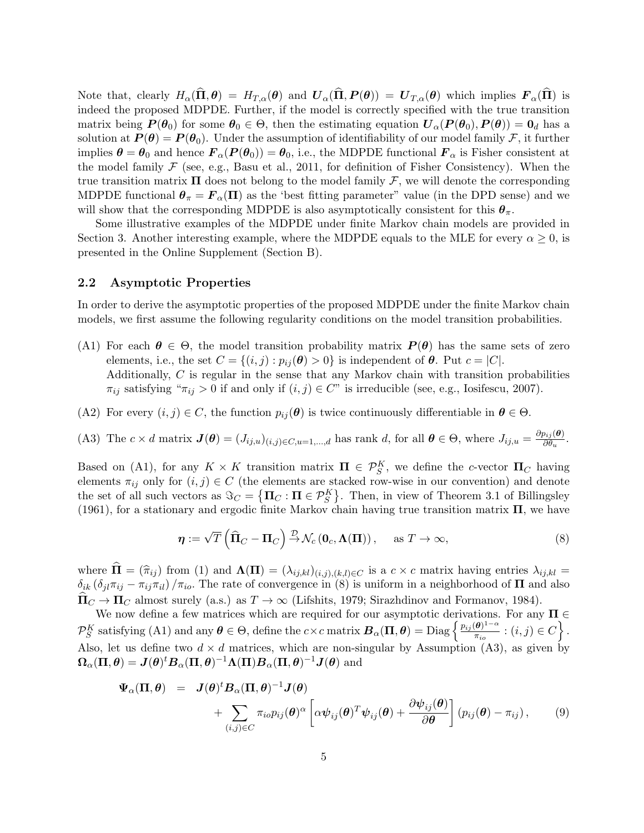Note that, clearly  $H_{\alpha}(\widehat{\Pi}, \theta) = H_{T,\alpha}(\theta)$  and  $U_{\alpha}(\widehat{\Pi}, P(\theta)) = U_{T,\alpha}(\theta)$  which implies  $F_{\alpha}(\widehat{\Pi})$  is indeed the proposed MDPDE. Further, if the model is correctly specified with the true transition matrix being  $P(\theta_0)$  for some  $\theta_0 \in \Theta$ , then the estimating equation  $U_{\alpha}(P(\theta_0), P(\theta)) = 0_d$  has a solution at  $P(\theta) = P(\theta_0)$ . Under the assumption of identifiability of our model family F, it further implies  $\boldsymbol{\theta} = \boldsymbol{\theta}_0$  and hence  $\boldsymbol{F}_{\alpha}(\boldsymbol{P}(\boldsymbol{\theta}_0)) = \boldsymbol{\theta}_0$ , i.e., the MDPDE functional  $\boldsymbol{F}_{\alpha}$  is Fisher consistent at the model family  $\mathcal F$  (see, e.g., Basu et al., 2011, for definition of Fisher Consistency). When the true transition matrix  $\Pi$  does not belong to the model family  $\mathcal F$ , we will denote the corresponding MDPDE functional  $\theta_{\pi} = \mathbf{F}_{\alpha}(\Pi)$  as the 'best fitting parameter" value (in the DPD sense) and we will show that the corresponding MDPDE is also asymptotically consistent for this  $\theta_{\pi}$ .

Some illustrative examples of the MDPDE under finite Markov chain models are provided in Section 3. Another interesting example, where the MDPDE equals to the MLE for every  $\alpha \geq 0$ , is presented in the Online Supplement (Section B).

## 2.2 Asymptotic Properties

In order to derive the asymptotic properties of the proposed MDPDE under the finite Markov chain models, we first assume the following regularity conditions on the model transition probabilities.

- (A1) For each  $\theta \in \Theta$ , the model transition probability matrix  $P(\theta)$  has the same sets of zero elements, i.e., the set  $C = \{(i, j) : p_{ij}(\boldsymbol{\theta}) > 0\}$  is independent of  $\boldsymbol{\theta}$ . Put  $c = |C|$ . Additionally, C is regular in the sense that any Markov chain with transition probabilities  $\pi_{ij}$  satisfying " $\pi_{ij} > 0$  if and only if  $(i, j) \in C$ " is irreducible (see, e.g., Iosifescu, 2007).
- (A2) For every  $(i, j) \in C$ , the function  $p_{ij}(\theta)$  is twice continuously differentiable in  $\theta \in \Theta$ .

(A3) The  $c \times d$  matrix  $\mathbf{J}(\boldsymbol{\theta}) = (J_{ij,u})_{(i,j) \in C, u=1,\dots,d}$  has rank d, for all  $\boldsymbol{\theta} \in \Theta$ , where  $J_{ij,u} = \frac{\partial p_{ij}(\boldsymbol{\theta})}{\partial \theta_u}$  $\frac{\partial_{ij}(\boldsymbol{\theta})}{\partial \theta_u}.$ 

Based on (A1), for any  $K \times K$  transition matrix  $\Pi \in \mathcal{P}_S^K$ , we define the c-vector  $\Pi_C$  having elements  $\pi_{ij}$  only for  $(i, j) \in C$  (the elements are stacked row-wise in our convention) and denote the set of all such vectors as  $\Im_C = {\{\Pi_C : \Pi \in \mathcal{P}_S^K\}}$ . Then, in view of Theorem 3.1 of Billingsley (1961), for a stationary and ergodic finite Markov chain having true transition matrix  $\Pi$ , we have

$$
\boldsymbol{\eta} := \sqrt{T} \left( \widehat{\Pi}_C - \Pi_C \right) \stackrel{\mathcal{D}}{\rightarrow} \mathcal{N}_c \left( \mathbf{0}_c, \boldsymbol{\Lambda}(\Pi) \right), \quad \text{as } T \to \infty,
$$
\n(8)

where  $\hat{\mathbf{\Pi}} = (\hat{\pi}_{ij})$  from (1) and  $\mathbf{\Lambda}(\mathbf{\Pi}) = (\lambda_{ij,kl})_{(i,j),(k,l)\in C}$  is a  $c \times c$  matrix having entries  $\lambda_{ij,kl} =$  $\delta_{ik}$  ( $\delta_{il}\pi_{ij} - \pi_{ij}\pi_{il}$ ) / $\pi_{io}$ . The rate of convergence in (8) is uniform in a neighborhood of  $\Pi$  and also  $\Pi_C \to \Pi_C$  almost surely (a.s.) as  $T \to \infty$  (Lifshits, 1979; Sirazhdinov and Formanov, 1984).

We now define a few matrices which are required for our asymptotic derivations. For any  $\Pi \in$  $\mathcal{P}_S^K$  satisfying (A1) and any  $\boldsymbol{\theta} \in \Theta$ , define the  $c \times c$  matrix  $\boldsymbol{B}_{\alpha}(\boldsymbol{\Pi}, \boldsymbol{\theta}) = \text{Diag}\left\{\frac{p_{ij}(\boldsymbol{\theta})^{1-\alpha}}{\pi_{io}}\right\}$  $\frac{(\boldsymbol{\theta})^{1-\alpha}}{\pi_{io}}$  :  $(i, j) \in C$  }. Also, let us define two  $d \times d$  matrices, which are non-singular by Assumption (A3), as given by  $\bm{\Omega}_{\alpha}(\bm{\Pi},\bm{\theta})=\bm{J}(\bm{\theta})^t\bm{B}_{\alpha}(\bm{\Pi},\bm{\theta})^{-1}\bm{\Lambda}(\bm{\Pi})\bm{B}_{\alpha}(\bm{\Pi},\bm{\theta})^{-1}\bm{J}(\bm{\theta})\; {\rm and}$ 

$$
\Psi_{\alpha}(\Pi, \theta) = J(\theta)^{t} B_{\alpha}(\Pi, \theta)^{-1} J(\theta) \n+ \sum_{(i,j) \in C} \pi_{io} p_{ij}(\theta)^{\alpha} \left[ \alpha \psi_{ij}(\theta)^{T} \psi_{ij}(\theta) + \frac{\partial \psi_{ij}(\theta)}{\partial \theta} \right] (p_{ij}(\theta) - \pi_{ij}),
$$
\n(9)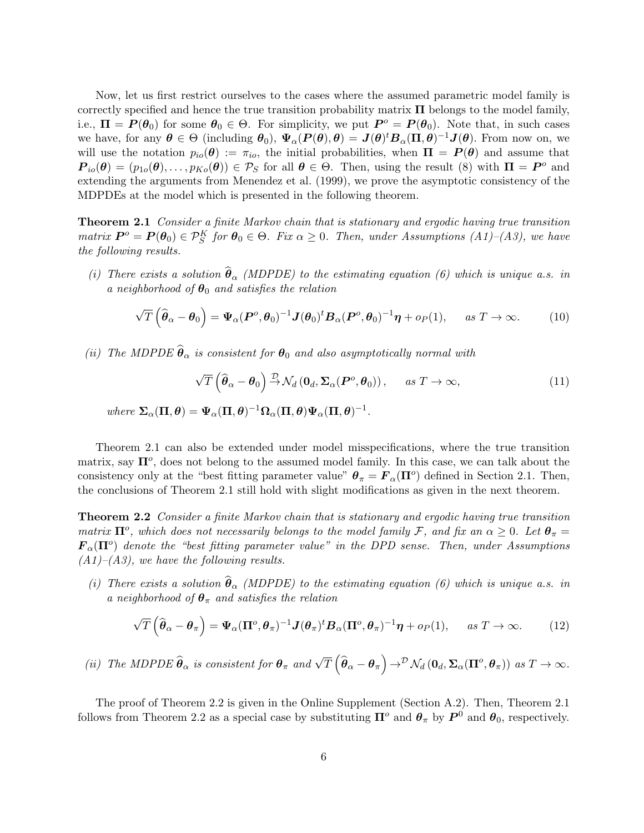Now, let us first restrict ourselves to the cases where the assumed parametric model family is correctly specified and hence the true transition probability matrix  $\Pi$  belongs to the model family, i.e.,  $\Pi = P(\theta_0)$  for some  $\theta_0 \in \Theta$ . For simplicity, we put  $P^o = P(\theta_0)$ . Note that, in such cases we have, for any  $\theta \in \Theta$  (including  $\theta_0$ ),  $\Psi_\alpha(P(\theta), \theta) = J(\theta)^t B_\alpha(\Pi, \theta)^{-1} J(\theta)$ . From now on, we will use the notation  $p_{io}(\theta) := \pi_{io}$ , the initial probabilities, when  $\Pi = P(\theta)$  and assume that  $\boldsymbol{P}_{io}(\boldsymbol{\theta}) = (p_{1o}(\boldsymbol{\theta}), \dots, p_{Ko}(\boldsymbol{\theta})) \in \mathcal{P}_S$  for all  $\boldsymbol{\theta} \in \Theta$ . Then, using the result (8) with  $\Pi = \boldsymbol{P}^o$  and extending the arguments from Menendez et al. (1999), we prove the asymptotic consistency of the MDPDEs at the model which is presented in the following theorem.

**Theorem 2.1** Consider a finite Markov chain that is stationary and ergodic having true transition matrix  $P^o = P(\theta_0) \in \mathcal{P}_S^K$  for  $\theta_0 \in \Theta$ . Fix  $\alpha \geq 0$ . Then, under Assumptions (A1)-(A3), we have the following results.

(i) There exists a solution  $\hat{\theta}_{\alpha}$  (MDPDE) to the estimating equation (6) which is unique a.s. in a neighborhood of  $\theta_0$  and satisfies the relation

$$
\sqrt{T}\left(\widehat{\boldsymbol{\theta}}_{\alpha}-\boldsymbol{\theta}_{0}\right)=\Psi_{\alpha}(\boldsymbol{P}^{\circ},\boldsymbol{\theta}_{0})^{-1}\boldsymbol{J}(\boldsymbol{\theta}_{0})^{t}\boldsymbol{B}_{\alpha}(\boldsymbol{P}^{\circ},\boldsymbol{\theta}_{0})^{-1}\boldsymbol{\eta}+o_{P}(1),\quad \text{ as } T\to\infty.
$$
 (10)

(ii) The MDPDE  $\hat{\theta}_{\alpha}$  is consistent for  $\theta_0$  and also asymptotically normal with

$$
\sqrt{T}\left(\widehat{\boldsymbol{\theta}}_{\alpha}-\boldsymbol{\theta}_{0}\right)\stackrel{\mathcal{D}}{\rightarrow}\mathcal{N}_{d}\left(\mathbf{0}_{d},\boldsymbol{\Sigma}_{\alpha}(\boldsymbol{P}^{o},\boldsymbol{\theta}_{0})\right),\qquad as\ T\rightarrow\infty,
$$
\n(11)

where  $\Sigma_{\alpha}(\Pi,\theta) = \Psi_{\alpha}(\Pi,\theta)^{-1}\Omega_{\alpha}(\Pi,\theta)\Psi_{\alpha}(\Pi,\theta)^{-1}$ .

Theorem 2.1 can also be extended under model misspecifications, where the true transition matrix, say  $\Pi^o$ , does not belong to the assumed model family. In this case, we can talk about the consistency only at the "best fitting parameter value"  $\theta_{\pi} = F_{\alpha}(\Pi^{\circ})$  defined in Section 2.1. Then, the conclusions of Theorem 2.1 still hold with slight modifications as given in the next theorem.

**Theorem 2.2** Consider a finite Markov chain that is stationary and ergodic having true transition matrix  $\Pi^o$ , which does not necessarily belongs to the model family F, and fix an  $\alpha \geq 0$ . Let  $\theta_{\pi} =$  $\mathbf{F}_{\alpha}(\mathbf{\Pi}^o)$  denote the "best fitting parameter value" in the DPD sense. Then, under Assumptions  $(A1)$ – $(A3)$ , we have the following results.

(i) There exists a solution  $\hat{\theta}_{\alpha}$  (MDPDE) to the estimating equation (6) which is unique a.s. in a neighborhood of  $\theta_{\pi}$  and satisfies the relation

$$
\sqrt{T}\left(\widehat{\boldsymbol{\theta}}_{\alpha}-\boldsymbol{\theta}_{\pi}\right)=\Psi_{\alpha}(\boldsymbol{\Pi}^{o},\boldsymbol{\theta}_{\pi})^{-1}\boldsymbol{J}(\boldsymbol{\theta}_{\pi})^{t}\boldsymbol{B}_{\alpha}(\boldsymbol{\Pi}^{o},\boldsymbol{\theta}_{\pi})^{-1}\boldsymbol{\eta}+o_{P}(1),\quad \text{ as } T\to\infty.
$$
 (12)

(ii) The MDPDE  $\widehat{\boldsymbol{\theta}}_{\alpha}$  is consistent for  $\boldsymbol{\theta}_{\pi}$  and  $\sqrt{T} (\widehat{\boldsymbol{\theta}}_{\alpha} - \boldsymbol{\theta}_{\pi}) \rightarrow^{\mathcal{D}} \mathcal{N}_d (\mathbf{0}_d, \boldsymbol{\Sigma}_{\alpha} (\boldsymbol{\Pi}^o, \boldsymbol{\theta}_{\pi}))$  as  $T \rightarrow \infty$ .

The proof of Theorem 2.2 is given in the Online Supplement (Section A.2). Then, Theorem 2.1 follows from Theorem 2.2 as a special case by substituting  $\Pi^o$  and  $\theta_{\pi}$  by  $P^0$  and  $\theta_0$ , respectively.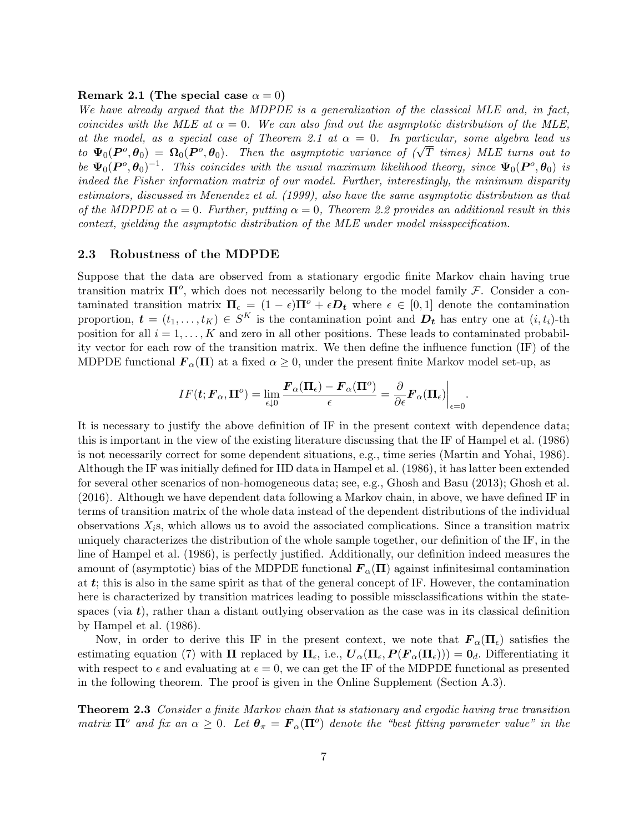#### Remark 2.1 (The special case  $\alpha = 0$ )

We have already argued that the MDPDE is a generalization of the classical MLE and, in fact, coincides with the MLE at  $\alpha = 0$ . We can also find out the asymptotic distribution of the MLE, at the model, as a special case of Theorem 2.1 at  $\alpha = 0$ . In particular, some algebra lead us to  $\Psi_0(P^o, \theta_0) = \Omega_0(P^o, \theta_0)$ . Then the asymptotic variance of  $(\sqrt{T}$  times) MLE turns out to be  $\Psi_0(P^o, \theta_0)^{-1}$ . This coincides with the usual maximum likelihood theory, since  $\Psi_0(P^o, \theta_0)$  is indeed the Fisher information matrix of our model. Further, interestingly, the minimum disparity estimators, discussed in Menendez et al. (1999), also have the same asymptotic distribution as that of the MDPDE at  $\alpha = 0$ . Further, putting  $\alpha = 0$ , Theorem 2.2 provides an additional result in this context, yielding the asymptotic distribution of the MLE under model misspecification.

#### 2.3 Robustness of the MDPDE

Suppose that the data are observed from a stationary ergodic finite Markov chain having true transition matrix  $\Pi^o$ , which does not necessarily belong to the model family  $\mathcal{F}$ . Consider a contaminated transition matrix  $\Pi_{\epsilon} = (1 - \epsilon)\Pi^{\circ} + \epsilon D_{t}$  where  $\epsilon \in [0, 1]$  denote the contamination proportion,  $\boldsymbol{t} = (t_1, \ldots, t_K) \in S^K$  is the contamination point and  $\boldsymbol{D_t}$  has entry one at  $(i, t_i)$ -th position for all  $i = 1, ..., K$  and zero in all other positions. These leads to contaminated probability vector for each row of the transition matrix. We then define the influence function (IF) of the MDPDE functional  $\mathbf{F}_{\alpha}(\Pi)$  at a fixed  $\alpha \geq 0$ , under the present finite Markov model set-up, as

$$
IF(\boldsymbol{t};\boldsymbol{F}_{\alpha},\boldsymbol{\Pi}^{o})=\lim_{\epsilon\downarrow 0}\frac{\boldsymbol{F}_{\alpha}(\boldsymbol{\Pi}_{\epsilon})-\boldsymbol{F}_{\alpha}(\boldsymbol{\Pi}^{o})}{\epsilon}=\frac{\partial}{\partial\epsilon}\boldsymbol{F}_{\alpha}(\boldsymbol{\Pi}_{\epsilon})\bigg|_{\epsilon=0}.
$$

It is necessary to justify the above definition of IF in the present context with dependence data; this is important in the view of the existing literature discussing that the IF of Hampel et al. (1986) is not necessarily correct for some dependent situations, e.g., time series (Martin and Yohai, 1986). Although the IF was initially defined for IID data in Hampel et al. (1986), it has latter been extended for several other scenarios of non-homogeneous data; see, e.g., Ghosh and Basu (2013); Ghosh et al. (2016). Although we have dependent data following a Markov chain, in above, we have defined IF in terms of transition matrix of the whole data instead of the dependent distributions of the individual observations  $X_i$ s, which allows us to avoid the associated complications. Since a transition matrix uniquely characterizes the distribution of the whole sample together, our definition of the IF, in the line of Hampel et al. (1986), is perfectly justified. Additionally, our definition indeed measures the amount of (asymptotic) bias of the MDPDE functional  $\mathbf{F}_{\alpha}(\Pi)$  against infinitesimal contamination at  $t$ ; this is also in the same spirit as that of the general concept of IF. However, the contamination here is characterized by transition matrices leading to possible missclassifications within the statespaces (via  $t$ ), rather than a distant outlying observation as the case was in its classical definition by Hampel et al. (1986).

Now, in order to derive this IF in the present context, we note that  $\mathbf{F}_{\alpha}(\Pi_{\epsilon})$  satisfies the estimating equation (7) with  $\Pi$  replaced by  $\Pi_{\epsilon}$ , i.e.,  $U_{\alpha}(\Pi_{\epsilon}, P(F_{\alpha}(\Pi_{\epsilon}))) = 0_d$ . Differentiating it with respect to  $\epsilon$  and evaluating at  $\epsilon = 0$ , we can get the IF of the MDPDE functional as presented in the following theorem. The proof is given in the Online Supplement (Section A.3).

**Theorem 2.3** Consider a finite Markov chain that is stationary and ergodic having true transition matrix  $\Pi^o$  and fix an  $\alpha \geq 0$ . Let  $\theta_\pi = \mathbf{F}_\alpha(\Pi^o)$  denote the "best fitting parameter value" in the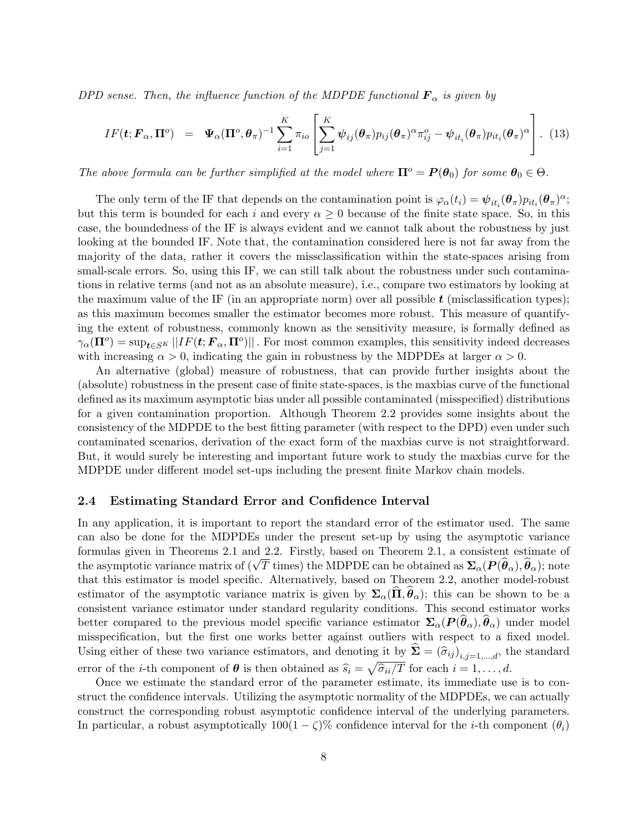DPD sense. Then, the influence function of the MDPDE functional  $\mathbf{F}_{\alpha}$  is given by

$$
IF(\boldsymbol{t}; \boldsymbol{F}_{\alpha}, \boldsymbol{\Pi}^{o}) = \boldsymbol{\Psi}_{\alpha}(\boldsymbol{\Pi}^{o}, \boldsymbol{\theta}_{\pi})^{-1} \sum_{i=1}^{K} \pi_{io} \left[ \sum_{j=1}^{K} \boldsymbol{\psi}_{ij}(\boldsymbol{\theta}_{\pi}) p_{ij}(\boldsymbol{\theta}_{\pi})^{\alpha} \pi_{ij}^{o} - \boldsymbol{\psi}_{it_{i}}(\boldsymbol{\theta}_{\pi}) p_{it_{i}}(\boldsymbol{\theta}_{\pi})^{\alpha} \right].
$$
 (13)

The above formula can be further simplified at the model where  $\Pi^o = P(\theta_0)$  for some  $\theta_0 \in \Theta$ .

The only term of the IF that depends on the contamination point is  $\varphi_{\alpha}(t_i) = \psi_{it_i}(\theta_{\pi}) p_{it_i}(\theta_{\pi})^{\alpha}$ ; but this term is bounded for each i and every  $\alpha \geq 0$  because of the finite state space. So, in this case, the boundedness of the IF is always evident and we cannot talk about the robustness by just looking at the bounded IF. Note that, the contamination considered here is not far away from the majority of the data, rather it covers the missclassification within the state-spaces arising from small-scale errors. So, using this IF, we can still talk about the robustness under such contaminations in relative terms (and not as an absolute measure), i.e., compare two estimators by looking at the maximum value of the IF (in an appropriate norm) over all possible  $t$  (misclassification types); as this maximum becomes smaller the estimator becomes more robust. This measure of quantifying the extent of robustness, commonly known as the sensitivity measure, is formally defined as  $\gamma_{\alpha}(\mathbf{\Pi}^o) = \sup_{\mathbf{t} \in S^K} ||IF(\mathbf{t}; \mathbf{F}_{\alpha}, \mathbf{\Pi}^o)||$ . For most common examples, this sensitivity indeed decreases with increasing  $\alpha > 0$ , indicating the gain in robustness by the MDPDEs at larger  $\alpha > 0$ .

An alternative (global) measure of robustness, that can provide further insights about the (absolute) robustness in the present case of finite state-spaces, is the maxbias curve of the functional defined as its maximum asymptotic bias under all possible contaminated (misspecified) distributions for a given contamination proportion. Although Theorem 2.2 provides some insights about the consistency of the MDPDE to the best fitting parameter (with respect to the DPD) even under such contaminated scenarios, derivation of the exact form of the maxbias curve is not straightforward. But, it would surely be interesting and important future work to study the maxbias curve for the MDPDE under different model set-ups including the present finite Markov chain models.

## 2.4 Estimating Standard Error and Confidence Interval

In any application, it is important to report the standard error of the estimator used. The same can also be done for the MDPDEs under the present set-up by using the asymptotic variance formulas given in Theorems 2.1 and 2.2. Firstly, based on Theorem 2.1, a consistent estimate of the asymptotic variance matrix of  $(\sqrt{T}$  times) the MDPDE can be obtained as  $\Sigma_{\alpha}(P(\hat{\theta}_{\alpha}), \hat{\theta}_{\alpha})$ ; note that this estimator is model specific. Alternatively, based on Theorem 2.2, another model-robust estimator of the asymptotic variance matrix is given by  $\Sigma_{\alpha}(\Pi, \theta_{\alpha})$ ; this can be shown to be a consistent variance estimator under standard regularity conditions. This second estimator works better compared to the previous model specific variance estimator  $\Sigma_{\alpha}(P(\theta_{\alpha}), \theta_{\alpha})$  under model misspecification, but the first one works better against outliers with respect to a fixed model. Using either of these two variance estimators, and denoting it by  $\Sigma = (\hat{\sigma}_{ij})_{i,j=1,\dots,d}$ , the standard error of the *i*-th component of  $\theta$  is then obtained as  $\hat{s}_i = \sqrt{\hat{\sigma}_{ii}/T}$  for each  $i = 1, ..., d$ .

Once we estimate the standard error of the parameter estimate, its immediate use is to construct the confidence intervals. Utilizing the asymptotic normality of the MDPDEs, we can actually construct the corresponding robust asymptotic confidence interval of the underlying parameters. In particular, a robust asymptotically  $100(1 - \zeta)\%$  confidence interval for the *i*-th component  $(\theta_i)$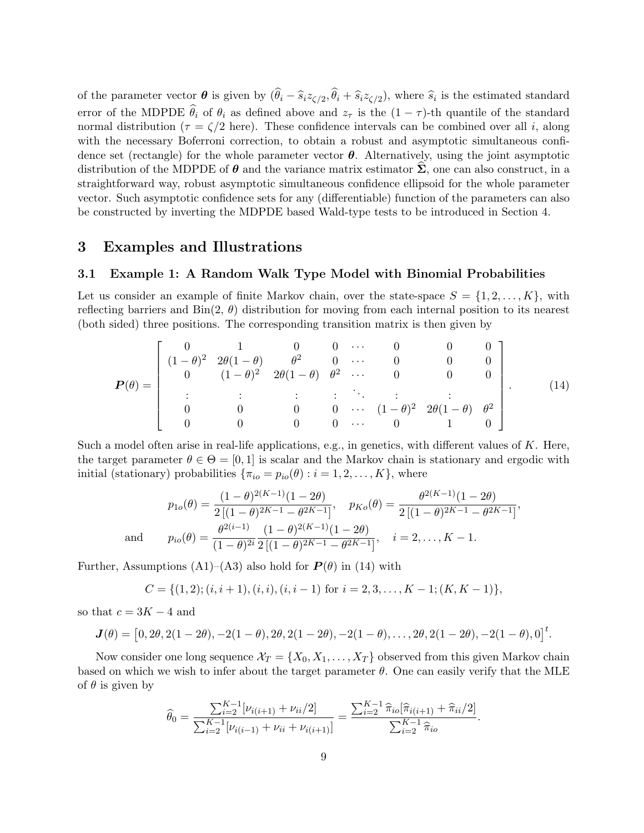of the parameter vector  $\boldsymbol{\theta}$  is given by  $(\theta_i - \widehat{s}_i z_{\zeta/2}, \theta_i + \widehat{s}_i z_{\zeta/2})$ , where  $\widehat{s}_i$  is the estimated standard error of the MDPDE  $\hat{\theta}_i$  of  $\theta_i$  as defined above and  $z_{\tau}$  is the  $(1 - \tau)$ -th quantile of the standard normal distribution ( $\tau = \zeta/2$  here). These confidence intervals can be combined over all i, along with the necessary Boferroni correction, to obtain a robust and asymptotic simultaneous confidence set (rectangle) for the whole parameter vector  $\theta$ . Alternatively, using the joint asymptotic distribution of the MDPDE of  $\theta$  and the variance matrix estimator  $\Sigma$ , one can also construct, in a straightforward way, robust asymptotic simultaneous confidence ellipsoid for the whole parameter vector. Such asymptotic confidence sets for any (differentiable) function of the parameters can also be constructed by inverting the MDPDE based Wald-type tests to be introduced in Section 4.

## 3 Examples and Illustrations

## 3.1 Example 1: A Random Walk Type Model with Binomial Probabilities

Let us consider an example of finite Markov chain, over the state-space  $S = \{1, 2, \ldots, K\}$ , with reflecting barriers and  $\text{Bin}(2, \theta)$  distribution for moving from each internal position to its nearest (both sided) three positions. The corresponding transition matrix is then given by

$$
\boldsymbol{P}(\theta) = \begin{bmatrix} 0 & 1 & 0 & 0 & \cdots & 0 & 0 & 0 \\ (1-\theta)^2 & 2\theta(1-\theta) & \theta^2 & 0 & \cdots & 0 & 0 & 0 \\ 0 & (1-\theta)^2 & 2\theta(1-\theta) & \theta^2 & \cdots & 0 & 0 & 0 \\ \vdots & \vdots & \vdots & \vdots & \ddots & \vdots & \vdots & \vdots \\ 0 & 0 & 0 & 0 & \cdots & (1-\theta)^2 & 2\theta(1-\theta) & \theta^2 \\ 0 & 0 & 0 & \cdots & 0 & 1 & 0 \end{bmatrix} . \tag{14}
$$

Such a model often arise in real-life applications, e.g., in genetics, with different values of  $K$ . Here, the target parameter  $\theta \in \Theta = [0, 1]$  is scalar and the Markov chain is stationary and ergodic with initial (stationary) probabilities  $\{\pi_{io} = p_{io}(\theta) : i = 1, 2, \ldots, K\}$ , where

$$
p_{1o}(\theta) = \frac{(1-\theta)^{2(K-1)}(1-2\theta)}{2\left[(1-\theta)^{2K-1}-\theta^{2K-1}\right]}, \quad p_{Ko}(\theta) = \frac{\theta^{2(K-1)}(1-2\theta)}{2\left[(1-\theta)^{2K-1}-\theta^{2K-1}\right]},
$$
  
and 
$$
p_{io}(\theta) = \frac{\theta^{2(i-1)}}{(1-\theta)^{2i}} \frac{(1-\theta)^{2(K-1)}(1-2\theta)}{2\left[(1-\theta)^{2K-1}-\theta^{2K-1}\right]}, \quad i=2,\ldots,K-1.
$$

Further, Assumptions (A1)–(A3) also hold for  $P(\theta)$  in (14) with

$$
C = \{(1, 2); (i, i + 1), (i, i), (i, i - 1) \text{ for } i = 2, 3, \dots, K - 1; (K, K - 1)\},\
$$

so that  $c = 3K - 4$  and

$$
\mathbf{J}(\theta) = [0, 2\theta, 2(1-2\theta), -2(1-\theta), 2\theta, 2(1-2\theta), -2(1-\theta), \dots, 2\theta, 2(1-2\theta), -2(1-\theta), 0]^{\mathrm{t}}.
$$

Now consider one long sequence  $\mathcal{X}_T = \{X_0, X_1, \ldots, X_T\}$  observed from this given Markov chain based on which we wish to infer about the target parameter  $\theta$ . One can easily verify that the MLE of  $\theta$  is given by

$$
\widehat{\theta}_0 = \frac{\sum_{i=2}^{K-1} [\nu_{i(i+1)} + \nu_{ii}/2]}{\sum_{i=2}^{K-1} [\nu_{i(i-1)} + \nu_{ii} + \nu_{i(i+1)}]} = \frac{\sum_{i=2}^{K-1} \widehat{\pi}_{io} [\widehat{\pi}_{i(i+1)} + \widehat{\pi}_{ii}/2]}{\sum_{i=2}^{K-1} \widehat{\pi}_{io}}.
$$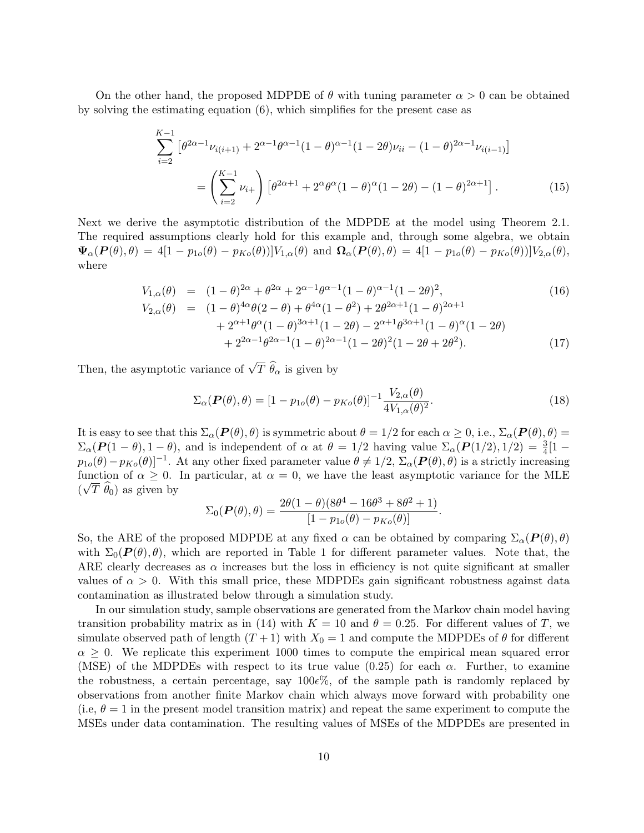On the other hand, the proposed MDPDE of  $\theta$  with tuning parameter  $\alpha > 0$  can be obtained by solving the estimating equation (6), which simplifies for the present case as

$$
\sum_{i=2}^{K-1} \left[ \theta^{2\alpha - 1} \nu_{i(i+1)} + 2^{\alpha - 1} \theta^{\alpha - 1} (1 - \theta)^{\alpha - 1} (1 - 2\theta) \nu_{ii} - (1 - \theta)^{2\alpha - 1} \nu_{i(i-1)} \right]
$$

$$
= \left( \sum_{i=2}^{K-1} \nu_{i+} \right) \left[ \theta^{2\alpha + 1} + 2^{\alpha} \theta^{\alpha} (1 - \theta)^{\alpha} (1 - 2\theta) - (1 - \theta)^{2\alpha + 1} \right]. \tag{15}
$$

Next we derive the asymptotic distribution of the MDPDE at the model using Theorem 2.1. The required assumptions clearly hold for this example and, through some algebra, we obtain  $\Psi_{\alpha}(P(\theta),\theta) = 4[1-p_{1o}(\theta)-p_{Ko}(\theta)]V_{1,\alpha}(\theta)$  and  $\Omega_{\alpha}(P(\theta),\theta) = 4[1-p_{1o}(\theta)-p_{Ko}(\theta)]V_{2,\alpha}(\theta),$ where

$$
V_{1,\alpha}(\theta) = (1 - \theta)^{2\alpha} + \theta^{2\alpha} + 2^{\alpha - 1}\theta^{\alpha - 1}(1 - \theta)^{\alpha - 1}(1 - 2\theta)^2,
$$
  
\n
$$
V_{2,\alpha}(\theta) = (1 - \theta)^{4\alpha}\theta(2 - \theta) + \theta^{4\alpha}(1 - \theta^2) + 2\theta^{2\alpha + 1}(1 - \theta)^{2\alpha + 1}
$$
  
\n
$$
+ 2^{\alpha + 1}\theta^{\alpha}(1 - \theta)^{3\alpha + 1}(1 - 2\theta) - 2^{\alpha + 1}\theta^{3\alpha + 1}(1 - \theta)^{\alpha}(1 - 2\theta)
$$
\n(16)

$$
+2^{2\alpha-1}\theta^{2\alpha-1}(1-\theta)^{2\alpha-1}(1-2\theta)^2(1-2\theta+2\theta^2).
$$
 (17)

Then, the asymptotic variance of  $\sqrt{T} \hat{\theta}_{\alpha}$  is given by

$$
\Sigma_{\alpha}(\boldsymbol{P}(\theta), \theta) = [1 - p_{1o}(\theta) - p_{Ko}(\theta)]^{-1} \frac{V_{2,\alpha}(\theta)}{4V_{1,\alpha}(\theta)^2}.
$$
\n(18)

It is easy to see that this  $\Sigma_{\alpha}(P(\theta), \theta)$  is symmetric about  $\theta = 1/2$  for each  $\alpha \geq 0$ , i.e.,  $\Sigma_{\alpha}(P(\theta), \theta) =$  $\Sigma_{\alpha}(\mathbf{P}(1-\theta), 1-\theta)$ , and is independent of  $\alpha$  at  $\theta = 1/2$  having value  $\Sigma_{\alpha}(\mathbf{P}(1/2), 1/2) = \frac{3}{4}[1-\theta]$  $p_{1o}(\theta)-p_{Ko}(\theta)]^{-1}$ . At any other fixed parameter value  $\theta \neq 1/2$ ,  $\Sigma_{\alpha}(\mathbf{P}(\theta),\theta)$  is a strictly increasing function of  $\alpha \geq 0$ . In particular, at  $\alpha = 0$ , we have the least asymptotic variance for the MLE  $(\sqrt{T} \hat{\theta}_0)$  as given by

$$
\Sigma_0(\boldsymbol{P}(\theta), \theta) = \frac{2\theta(1-\theta)(8\theta^4 - 16\theta^3 + 8\theta^2 + 1)}{[1 - p_{1o}(\theta) - p_{Ko}(\theta)]}.
$$

So, the ARE of the proposed MDPDE at any fixed  $\alpha$  can be obtained by comparing  $\Sigma_{\alpha}(P(\theta),\theta)$ with  $\Sigma_0(P(\theta), \theta)$ , which are reported in Table 1 for different parameter values. Note that, the ARE clearly decreases as  $\alpha$  increases but the loss in efficiency is not quite significant at smaller values of  $\alpha > 0$ . With this small price, these MDPDEs gain significant robustness against data contamination as illustrated below through a simulation study.

In our simulation study, sample observations are generated from the Markov chain model having transition probability matrix as in (14) with  $K = 10$  and  $\theta = 0.25$ . For different values of T, we simulate observed path of length  $(T+1)$  with  $X_0 = 1$  and compute the MDPDEs of  $\theta$  for different  $\alpha \geq 0$ . We replicate this experiment 1000 times to compute the empirical mean squared error (MSE) of the MDPDEs with respect to its true value (0.25) for each  $\alpha$ . Further, to examine the robustness, a certain percentage, say  $100e\%$ , of the sample path is randomly replaced by observations from another finite Markov chain which always move forward with probability one (i.e,  $\theta = 1$  in the present model transition matrix) and repeat the same experiment to compute the MSEs under data contamination. The resulting values of MSEs of the MDPDEs are presented in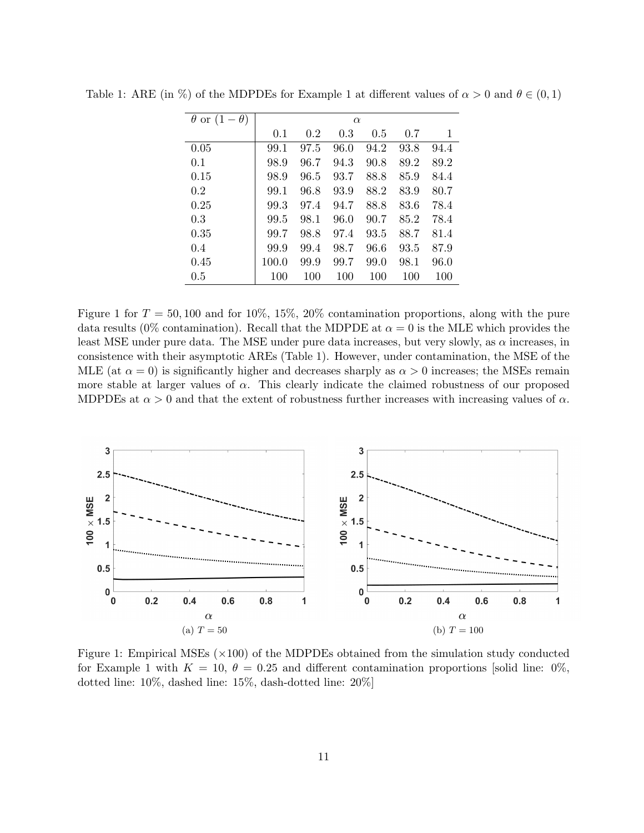| $\theta$ or $(1-\theta)$ | $\alpha$ |      |      |      |      |      |  |
|--------------------------|----------|------|------|------|------|------|--|
|                          | 0.1      | 0.2  | 0.3  | 0.5  | 0.7  | 1    |  |
| 0.05                     | 99.1     | 97.5 | 96.0 | 94.2 | 93.8 | 94.4 |  |
| 0.1                      | 98.9     | 96.7 | 94.3 | 90.8 | 89.2 | 89.2 |  |
| 0.15                     | 98.9     | 96.5 | 93.7 | 88.8 | 85.9 | 84.4 |  |
| 0.2                      | 99.1     | 96.8 | 93.9 | 88.2 | 83.9 | 80.7 |  |
| 0.25                     | 99.3     | 97.4 | 94.7 | 88.8 | 83.6 | 78.4 |  |
| 0.3                      | 99.5     | 98.1 | 96.0 | 90.7 | 85.2 | 78.4 |  |
| 0.35                     | 99.7     | 98.8 | 97.4 | 93.5 | 88.7 | 81.4 |  |
| 0.4                      | 99.9     | 99.4 | 98.7 | 96.6 | 93.5 | 87.9 |  |
| 0.45                     | 100.0    | 99.9 | 99.7 | 99.0 | 98.1 | 96.0 |  |
| 0.5                      | 100      | 100  | 100  | 100  | 100  | 100  |  |

Table 1: ARE (in %) of the MDPDEs for Example 1 at different values of  $\alpha > 0$  and  $\theta \in (0,1)$ 

Figure 1 for  $T = 50,100$  and for 10%, 15%, 20% contamination proportions, along with the pure data results (0% contamination). Recall that the MDPDE at  $\alpha = 0$  is the MLE which provides the least MSE under pure data. The MSE under pure data increases, but very slowly, as  $\alpha$  increases, in consistence with their asymptotic AREs (Table 1). However, under contamination, the MSE of the MLE (at  $\alpha = 0$ ) is significantly higher and decreases sharply as  $\alpha > 0$  increases; the MSEs remain more stable at larger values of  $\alpha$ . This clearly indicate the claimed robustness of our proposed MDPDEs at  $\alpha > 0$  and that the extent of robustness further increases with increasing values of  $\alpha$ .



Figure 1: Empirical MSEs  $(\times 100)$  of the MDPDEs obtained from the simulation study conducted for Example 1 with  $K = 10, \theta = 0.25$  and different contamination proportions [solid line: 0%, dotted line: 10%, dashed line: 15%, dash-dotted line: 20%]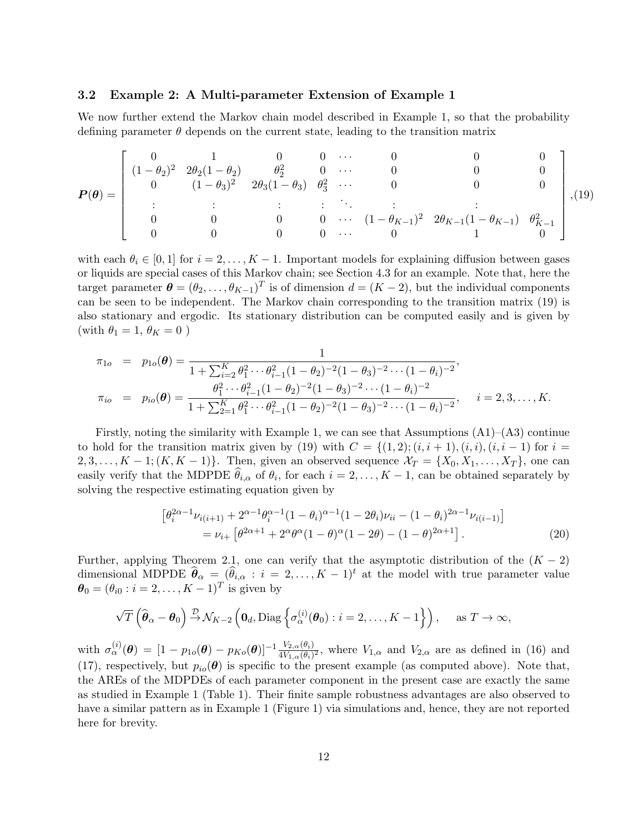## 3.2 Example 2: A Multi-parameter Extension of Example 1

We now further extend the Markov chain model described in Example 1, so that the probability defining parameter  $\theta$  depends on the current state, leading to the transition matrix

$$
\boldsymbol{P}(\boldsymbol{\theta}) = \begin{bmatrix} 0 & 1 & 0 & 0 & \cdots & 0 & 0 & 0 \\ (1-\theta_2)^2 & 2\theta_2(1-\theta_2) & \theta_2^2 & 0 & \cdots & 0 & 0 & 0 \\ 0 & (1-\theta_3)^2 & 2\theta_3(1-\theta_3) & \theta_3^2 & \cdots & 0 & 0 & 0 \\ \vdots & \vdots & \vdots & \vdots & \ddots & \vdots & \vdots & \vdots \\ 0 & 0 & 0 & 0 & \cdots & (1-\theta_{K-1})^2 & 2\theta_{K-1}(1-\theta_{K-1}) & \theta_{K-1}^2 \\ 0 & 0 & 0 & \cdots & 0 & 1 & 0 \end{bmatrix}, (19)
$$

with each  $\theta_i \in [0,1]$  for  $i = 2, \ldots, K-1$ . Important models for explaining diffusion between gases or liquids are special cases of this Markov chain; see Section 4.3 for an example. Note that, here the target parameter  $\boldsymbol{\theta} = (\theta_2, \dots, \theta_{K-1})^T$  is of dimension  $d = (K - 2)$ , but the individual components can be seen to be independent. The Markov chain corresponding to the transition matrix (19) is also stationary and ergodic. Its stationary distribution can be computed easily and is given by (with  $\theta_1 = 1, \theta_K = 0$ )

$$
\pi_{1o} = p_{1o}(\boldsymbol{\theta}) = \frac{1}{1 + \sum_{i=2}^{K} \theta_1^2 \cdots \theta_{i-1}^2 (1 - \theta_2)^{-2} (1 - \theta_3)^{-2} \cdots (1 - \theta_i)^{-2}},
$$
\n
$$
\pi_{io} = p_{io}(\boldsymbol{\theta}) = \frac{\theta_1^2 \cdots \theta_{i-1}^2 (1 - \theta_2)^{-2} (1 - \theta_3)^{-2} \cdots (1 - \theta_i)^{-2}}{1 + \sum_{2=1}^{K} \theta_1^2 \cdots \theta_{i-1}^2 (1 - \theta_2)^{-2} (1 - \theta_3)^{-2} \cdots (1 - \theta_i)^{-2}}, \quad i = 2, 3, \dots, K.
$$

Firstly, noting the similarity with Example 1, we can see that Assumptions  $(A1)$ – $(A3)$  continue to hold for the transition matrix given by (19) with  $C = \{(1,2); (i,i+1), (i,i), (i,i-1) \text{ for } i =$  $2, 3, \ldots, K-1$ ;  $(K, K-1)$ . Then, given an observed sequence  $\mathcal{X}_T = \{X_0, X_1, \ldots, X_T\}$ , one can easily verify that the MDPDE  $\theta_{i,\alpha}$  of  $\theta_i$ , for each  $i = 2, \ldots, K - 1$ , can be obtained separately by solving the respective estimating equation given by

$$
\begin{split} \left[\theta_i^{2\alpha-1}\nu_{i(i+1)} + 2^{\alpha-1}\theta_i^{\alpha-1}(1-\theta_i)^{\alpha-1}(1-2\theta_i)\nu_{ii} - (1-\theta_i)^{2\alpha-1}\nu_{i(i-1)}\right] \\ &= \nu_{i+} \left[\theta^{2\alpha+1} + 2^{\alpha}\theta^{\alpha}(1-\theta)^{\alpha}(1-2\theta) - (1-\theta)^{2\alpha+1}\right]. \end{split} \tag{20}
$$

Further, applying Theorem 2.1, one can verify that the asymptotic distribution of the  $(K - 2)$ dimensional MDPDE  $\widehat{\boldsymbol{\theta}}_{\alpha} = (\widehat{\theta}_{i,\alpha} : i = 2,\ldots,K-1)^{t}$  at the model with true parameter value  $\boldsymbol{\theta}_0 = (\theta_{i0} : i = 2, ..., K - 1)^T$  is given by

$$
\sqrt{T}\left(\widehat{\boldsymbol{\theta}}_{\alpha}-\boldsymbol{\theta}_{0}\right)\stackrel{\mathcal{D}}{\rightarrow}\mathcal{N}_{K-2}\left(\mathbf{0}_{d},\mathrm{Diag}\left\{\sigma_{\alpha}^{(i)}(\boldsymbol{\theta}_{0}):i=2,\ldots,K-1\right\}\right),\quad \text{ as }T\rightarrow\infty,
$$

with  $\sigma_{\alpha}^{(i)}(\boldsymbol{\theta}) = [1 - p_{1o}(\boldsymbol{\theta}) - p_{Ko}(\boldsymbol{\theta})]^{-1} \frac{V_{2,\alpha}(\theta_i)}{4V_{1,\alpha}(\theta_i)^2}$ , where  $V_{1,\alpha}$  and  $V_{2,\alpha}$  are as defined in (16) and (17), respectively, but  $p_{io}(\theta)$  is specific to the present example (as computed above). Note that, the AREs of the MDPDEs of each parameter component in the present case are exactly the same as studied in Example 1 (Table 1). Their finite sample robustness advantages are also observed to have a similar pattern as in Example 1 (Figure 1) via simulations and, hence, they are not reported here for brevity.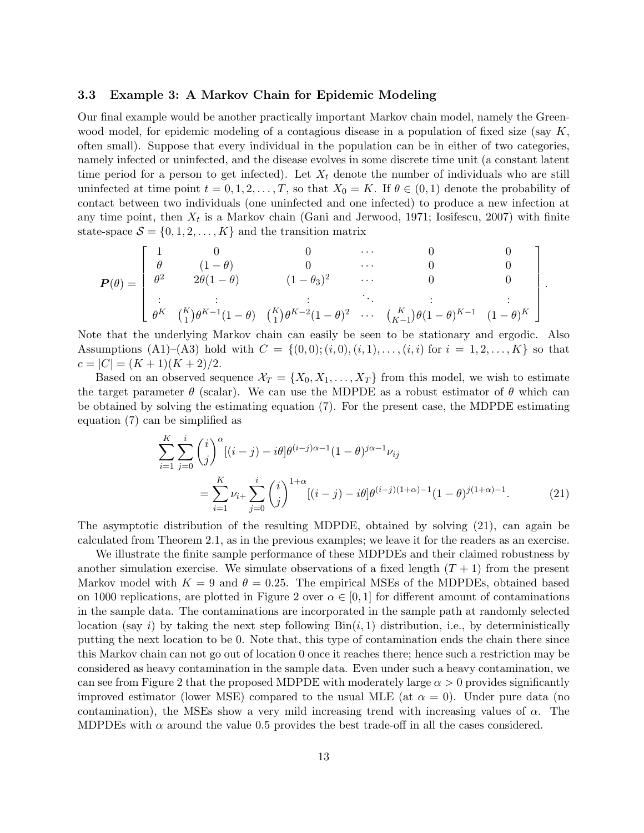## 3.3 Example 3: A Markov Chain for Epidemic Modeling

Our final example would be another practically important Markov chain model, namely the Greenwood model, for epidemic modeling of a contagious disease in a population of fixed size (say  $K$ , often small). Suppose that every individual in the population can be in either of two categories, namely infected or uninfected, and the disease evolves in some discrete time unit (a constant latent time period for a person to get infected). Let  $X_t$  denote the number of individuals who are still uninfected at time point  $t = 0, 1, 2, ..., T$ , so that  $X_0 = K$ . If  $\theta \in (0, 1)$  denote the probability of contact between two individuals (one uninfected and one infected) to produce a new infection at any time point, then  $X_t$  is a Markov chain (Gani and Jerwood, 1971; Iosifescu, 2007) with finite state-space  $S = \{0, 1, 2, \ldots, K\}$  and the transition matrix

$$
\boldsymbol{P}(\theta) = \begin{bmatrix} 1 & 0 & 0 & \cdots & 0 & 0 \\ \theta & (1-\theta) & 0 & \cdots & 0 & 0 \\ \theta^2 & 2\theta(1-\theta) & (1-\theta_3)^2 & \cdots & 0 & 0 \\ \vdots & \vdots & \vdots & \ddots & \vdots & \vdots \\ \theta^K & {K \choose 1} \theta^{K-1}(1-\theta) & {K \choose 1} \theta^{K-2}(1-\theta)^2 & \cdots & {K \choose K-1} \theta(1-\theta)^{K-1} & (1-\theta)^K \end{bmatrix}.
$$

Note that the underlying Markov chain can easily be seen to be stationary and ergodic. Also Assumptions (A1)–(A3) hold with  $C = \{(0,0); (i,0), (i,1), \ldots, (i,i) \text{ for } i = 1,2,\ldots,K\}$  so that  $c = |C| = (K + 1)(K + 2)/2.$ 

Based on an observed sequence  $\mathcal{X}_T = \{X_0, X_1, \ldots, X_T\}$  from this model, we wish to estimate the target parameter  $\theta$  (scalar). We can use the MDPDE as a robust estimator of  $\theta$  which can be obtained by solving the estimating equation (7). For the present case, the MDPDE estimating equation (7) can be simplified as

$$
\sum_{i=1}^{K} \sum_{j=0}^{i} {i \choose j}^{\alpha} [(i-j) - i\theta] \theta^{(i-j)\alpha - 1} (1 - \theta)^{j\alpha - 1} \nu_{ij}
$$
  
= 
$$
\sum_{i=1}^{K} \nu_{i+} \sum_{j=0}^{i} {i \choose j}^{1+\alpha} [(i-j) - i\theta] \theta^{(i-j)(1+\alpha)-1} (1 - \theta)^{j(1+\alpha)-1}.
$$
 (21)

The asymptotic distribution of the resulting MDPDE, obtained by solving (21), can again be calculated from Theorem 2.1, as in the previous examples; we leave it for the readers as an exercise.

We illustrate the finite sample performance of these MDPDEs and their claimed robustness by another simulation exercise. We simulate observations of a fixed length  $(T + 1)$  from the present Markov model with  $K = 9$  and  $\theta = 0.25$ . The empirical MSEs of the MDPDEs, obtained based on 1000 replications, are plotted in Figure 2 over  $\alpha \in [0,1]$  for different amount of contaminations in the sample data. The contaminations are incorporated in the sample path at randomly selected location (say i) by taking the next step following  $Bin(i, 1)$  distribution, i.e., by deterministically putting the next location to be 0. Note that, this type of contamination ends the chain there since this Markov chain can not go out of location 0 once it reaches there; hence such a restriction may be considered as heavy contamination in the sample data. Even under such a heavy contamination, we can see from Figure 2 that the proposed MDPDE with moderately large  $\alpha > 0$  provides significantly improved estimator (lower MSE) compared to the usual MLE (at  $\alpha = 0$ ). Under pure data (no contamination), the MSEs show a very mild increasing trend with increasing values of  $\alpha$ . The MDPDEs with  $\alpha$  around the value 0.5 provides the best trade-off in all the cases considered.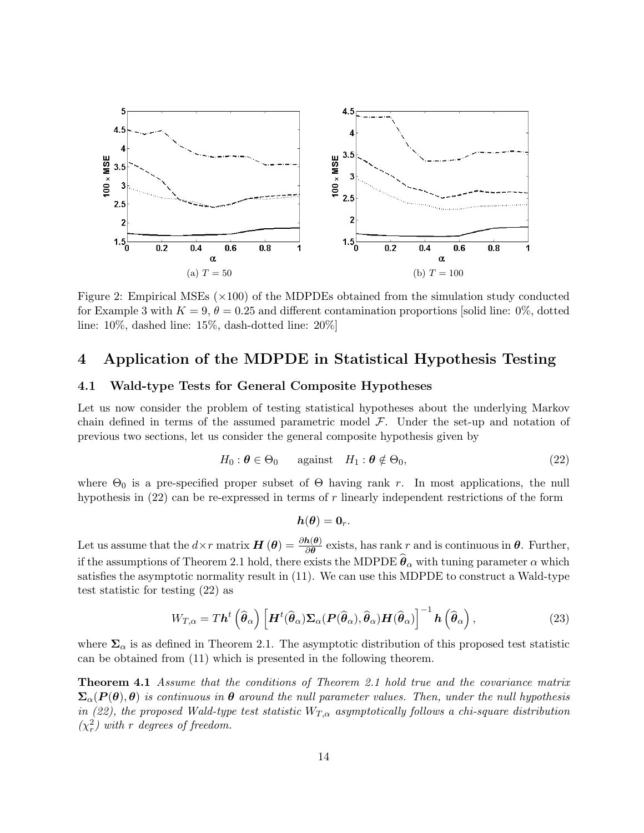

Figure 2: Empirical MSEs  $(\times 100)$  of the MDPDEs obtained from the simulation study conducted for Example 3 with  $K = 9, \theta = 0.25$  and different contamination proportions [solid line: 0%, dotted line: 10%, dashed line: 15%, dash-dotted line: 20%]

## 4 Application of the MDPDE in Statistical Hypothesis Testing

## 4.1 Wald-type Tests for General Composite Hypotheses

Let us now consider the problem of testing statistical hypotheses about the underlying Markov chain defined in terms of the assumed parametric model  $\mathcal{F}$ . Under the set-up and notation of previous two sections, let us consider the general composite hypothesis given by

$$
H_0: \boldsymbol{\theta} \in \Theta_0 \qquad \text{against} \quad H_1: \boldsymbol{\theta} \notin \Theta_0,\tag{22}
$$

where  $\Theta_0$  is a pre-specified proper subset of  $\Theta$  having rank r. In most applications, the null hypothesis in  $(22)$  can be re-expressed in terms of r linearly independent restrictions of the form

$$
\boldsymbol{h}(\boldsymbol{\theta})=\boldsymbol{0}_r.
$$

Let us assume that the  $d \times r$  matrix  $\boldsymbol{H}(\boldsymbol{\theta}) = \frac{\partial h(\boldsymbol{\theta})}{\partial \boldsymbol{\theta}}$  exists, has rank r and is continuous in  $\boldsymbol{\theta}$ . Further, if the assumptions of Theorem 2.1 hold, there exists the MDPDE  $\hat{\theta}_{\alpha}$  with tuning parameter  $\alpha$  which satisfies the asymptotic normality result in (11). We can use this MDPDE to construct a Wald-type test statistic for testing (22) as

$$
W_{T,\alpha} = T\boldsymbol{h}^t\left(\widehat{\boldsymbol{\theta}}_{\alpha}\right) \left[\boldsymbol{H}^t(\widehat{\boldsymbol{\theta}}_{\alpha})\boldsymbol{\Sigma}_{\alpha}(\boldsymbol{P}(\widehat{\boldsymbol{\theta}}_{\alpha}),\widehat{\boldsymbol{\theta}}_{\alpha})\boldsymbol{H}(\widehat{\boldsymbol{\theta}}_{\alpha})\right]^{-1}\boldsymbol{h}\left(\widehat{\boldsymbol{\theta}}_{\alpha}\right),
$$
\n(23)

where  $\Sigma_{\alpha}$  is as defined in Theorem 2.1. The asymptotic distribution of this proposed test statistic can be obtained from (11) which is presented in the following theorem.

Theorem 4.1 Assume that the conditions of Theorem 2.1 hold true and the covariance matrix  $\Sigma_{\alpha}(P(\theta),\theta)$  is continuous in  $\theta$  around the null parameter values. Then, under the null hypothesis in (22), the proposed Wald-type test statistic  $W_{T,\alpha}$  asymptotically follows a chi-square distribution  $(\chi_r^2)$  with r degrees of freedom.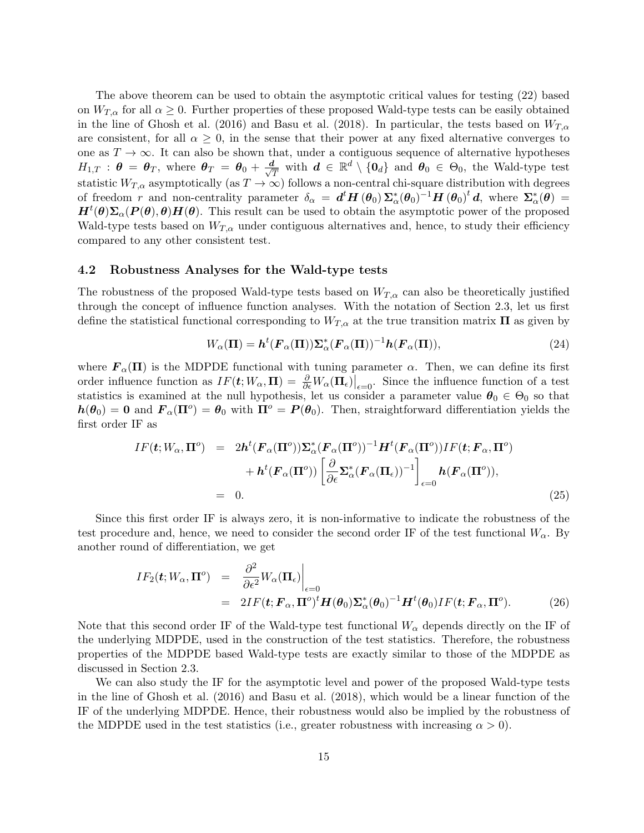The above theorem can be used to obtain the asymptotic critical values for testing (22) based on  $W_{T,\alpha}$  for all  $\alpha \geq 0$ . Further properties of these proposed Wald-type tests can be easily obtained in the line of Ghosh et al. (2016) and Basu et al. (2018). In particular, the tests based on  $W_{T,\alpha}$ are consistent, for all  $\alpha \geq 0$ , in the sense that their power at any fixed alternative converges to one as  $T \to \infty$ . It can also be shown that, under a contiguous sequence of alternative hypotheses  $H_{1,T}$  :  $\boldsymbol{\theta} = \boldsymbol{\theta}_T$ , where  $\boldsymbol{\theta}_T = \boldsymbol{\theta}_0 + \frac{d}{\sqrt{\epsilon}}$  $\frac{\bm{l}}{T}$  with  $\bm{d} \in \mathbb{R}^d \setminus \{\bm{0}_d\}$  and  $\bm{\theta}_0 \in \Theta_0$ , the Wald-type test statistic  $W_{T,\alpha}$  asymptotically (as  $T\to\infty$ ) follows a non-central chi-square distribution with degrees of freedom r and non-centrality parameter  $\delta_{\alpha} = d^t H(\theta_0) \Sigma_{\alpha}^*(\theta_0)^{-1} H(\theta_0)^t d$ , where  $\Sigma_{\alpha}^*(\theta) =$  $H^t(\theta)\Sigma_\alpha(P(\theta),\theta)H(\theta)$ . This result can be used to obtain the asymptotic power of the proposed Wald-type tests based on  $W_{T,\alpha}$  under contiguous alternatives and, hence, to study their efficiency compared to any other consistent test.

#### 4.2 Robustness Analyses for the Wald-type tests

The robustness of the proposed Wald-type tests based on  $W_{T,\alpha}$  can also be theoretically justified through the concept of influence function analyses. With the notation of Section 2.3, let us first define the statistical functional corresponding to  $W_{T,\alpha}$  at the true transition matrix  $\Pi$  as given by

$$
W_{\alpha}(\Pi) = \mathbf{h}^{t}(\mathbf{F}_{\alpha}(\Pi))\Sigma_{\alpha}^{*}(\mathbf{F}_{\alpha}(\Pi))^{-1}\mathbf{h}(\mathbf{F}_{\alpha}(\Pi)),
$$
\n(24)

where  $\mathbf{F}_{\alpha}(\Pi)$  is the MDPDE functional with tuning parameter  $\alpha$ . Then, we can define its first order influence function as  $IF(\mathbf{t}; W_{\alpha}, \mathbf{\Pi}) = \frac{\partial}{\partial \epsilon} W_{\alpha}(\mathbf{\Pi}_{\epsilon})|_{\epsilon=0}$ . Since the influence function of a test statistics is examined at the null hypothesis, let us consider a parameter value  $\theta_0 \in \Theta_0$  so that  $h(\theta_0) = 0$  and  $F_\alpha(\Pi^o) = \theta_0$  with  $\Pi^o = P(\theta_0)$ . Then, straightforward differentiation yields the first order IF as

$$
IF(\boldsymbol{t}; W_{\alpha}, \boldsymbol{\Pi}^o) = 2\boldsymbol{h}^t (F_{\alpha}(\boldsymbol{\Pi}^o)) \boldsymbol{\Sigma}_{\alpha}^* (F_{\alpha}(\boldsymbol{\Pi}^o))^{-1} \boldsymbol{H}^t (F_{\alpha}(\boldsymbol{\Pi}^o)) IF(\boldsymbol{t}; F_{\alpha}, \boldsymbol{\Pi}^o) + \boldsymbol{h}^t (F_{\alpha}(\boldsymbol{\Pi}^o)) \left[ \frac{\partial}{\partial \epsilon} \boldsymbol{\Sigma}_{\alpha}^* (F_{\alpha}(\boldsymbol{\Pi}_{\epsilon}))^{-1} \right]_{\epsilon=0} \boldsymbol{h} (F_{\alpha}(\boldsymbol{\Pi}^o)), = 0.
$$
 (25)

Since this first order IF is always zero, it is non-informative to indicate the robustness of the test procedure and, hence, we need to consider the second order IF of the test functional  $W_{\alpha}$ . By another round of differentiation, we get

$$
IF_2(t;W_\alpha,\mathbf{\Pi}^o) = \left. \frac{\partial^2}{\partial \epsilon^2} W_\alpha(\mathbf{\Pi}_{\epsilon}) \right|_{\epsilon=0}
$$
  
= 2IF(t;  $\mathbf{F}_\alpha$ ,  $\mathbf{\Pi}^o$ )<sup>t</sup>  $\mathbf{H}(\boldsymbol{\theta}_0) \Sigma^*_{\alpha}(\boldsymbol{\theta}_0)^{-1} \mathbf{H}^t(\boldsymbol{\theta}_0) IF(t; \mathbf{F}_\alpha, \mathbf{\Pi}^o).$  (26)

Note that this second order IF of the Wald-type test functional  $W_{\alpha}$  depends directly on the IF of the underlying MDPDE, used in the construction of the test statistics. Therefore, the robustness properties of the MDPDE based Wald-type tests are exactly similar to those of the MDPDE as discussed in Section 2.3.

We can also study the IF for the asymptotic level and power of the proposed Wald-type tests in the line of Ghosh et al. (2016) and Basu et al. (2018), which would be a linear function of the IF of the underlying MDPDE. Hence, their robustness would also be implied by the robustness of the MDPDE used in the test statistics (i.e., greater robustness with increasing  $\alpha > 0$ ).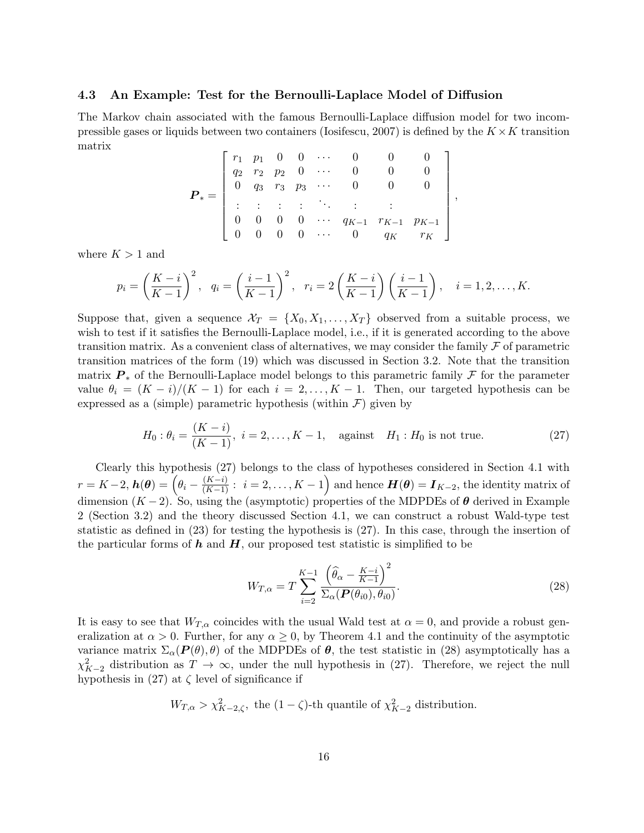## 4.3 An Example: Test for the Bernoulli-Laplace Model of Diffusion

The Markov chain associated with the famous Bernoulli-Laplace diffusion model for two incompressible gases or liquids between two containers (Iosifescu, 2007) is defined by the  $K \times K$  transition matrix

$$
\boldsymbol{P}_* = \left[ \begin{array}{ccccccccc} r_1 & p_1 & 0 & 0 & \cdots & 0 & 0 & 0 & 0 \\ q_2 & r_2 & p_2 & 0 & \cdots & 0 & 0 & 0 & 0 \\ 0 & q_3 & r_3 & p_3 & \cdots & 0 & 0 & 0 & 0 \\ \vdots & \vdots & \vdots & \vdots & \ddots & \vdots & \vdots & \vdots & \vdots \\ 0 & 0 & 0 & 0 & \cdots & q_{K-1} & r_{K-1} & p_{K-1} \\ 0 & 0 & 0 & 0 & \cdots & 0 & q_K & r_K \end{array} \right],
$$

where  $K > 1$  and

$$
p_i = \left(\frac{K-i}{K-1}\right)^2
$$
,  $q_i = \left(\frac{i-1}{K-1}\right)^2$ ,  $r_i = 2\left(\frac{K-i}{K-1}\right)\left(\frac{i-1}{K-1}\right)$ ,  $i = 1, 2, ..., K$ .

Suppose that, given a sequence  $\mathcal{X}_T = \{X_0, X_1, \ldots, X_T\}$  observed from a suitable process, we wish to test if it satisfies the Bernoulli-Laplace model, i.e., if it is generated according to the above transition matrix. As a convenient class of alternatives, we may consider the family  $\mathcal F$  of parametric transition matrices of the form (19) which was discussed in Section 3.2. Note that the transition matrix  $\mathbf{P}_*$  of the Bernoulli-Laplace model belongs to this parametric family  $\mathcal F$  for the parameter value  $\theta_i = (K - i)/(K - 1)$  for each  $i = 2, ..., K - 1$ . Then, our targeted hypothesis can be expressed as a (simple) parametric hypothesis (within  $\mathcal{F}$ ) given by

$$
H_0: \theta_i = \frac{(K - i)}{(K - 1)}, \ i = 2, \dots, K - 1, \quad \text{against} \quad H_1: H_0 \text{ is not true.} \tag{27}
$$

Clearly this hypothesis (27) belongs to the class of hypotheses considered in Section 4.1 with  $r = K - 2$ ,  $h(\theta) = \left(\theta_i - \frac{(K-i)}{(K-1)}: i = 2, \ldots, K-1\right)$  and hence  $H(\theta) = I_{K-2}$ , the identity matrix of dimension  $(K-2)$ . So, using the (asymptotic) properties of the MDPDEs of  $\theta$  derived in Example 2 (Section 3.2) and the theory discussed Section 4.1, we can construct a robust Wald-type test statistic as defined in (23) for testing the hypothesis is (27). In this case, through the insertion of the particular forms of  $h$  and  $H$ , our proposed test statistic is simplified to be

$$
W_{T,\alpha} = T \sum_{i=2}^{K-1} \frac{\left(\widehat{\theta}_{\alpha} - \frac{K-i}{K-1}\right)^2}{\Sigma_{\alpha}(\boldsymbol{P}(\theta_{i0}), \theta_{i0})}.
$$
\n(28)

It is easy to see that  $W_{T,\alpha}$  coincides with the usual Wald test at  $\alpha = 0$ , and provide a robust generalization at  $\alpha > 0$ . Further, for any  $\alpha \geq 0$ , by Theorem 4.1 and the continuity of the asymptotic variance matrix  $\Sigma_{\alpha}(P(\theta),\theta)$  of the MDPDEs of  $\theta$ , the test statistic in (28) asymptotically has a  $\chi^2_{K-2}$  distribution as  $T \to \infty$ , under the null hypothesis in (27). Therefore, we reject the null hypothesis in  $(27)$  at  $\zeta$  level of significance if

$$
W_{T,\alpha} > \chi^2_{K-2,\zeta}
$$
, the  $(1 - \zeta)$ -th quantile of  $\chi^2_{K-2}$  distribution.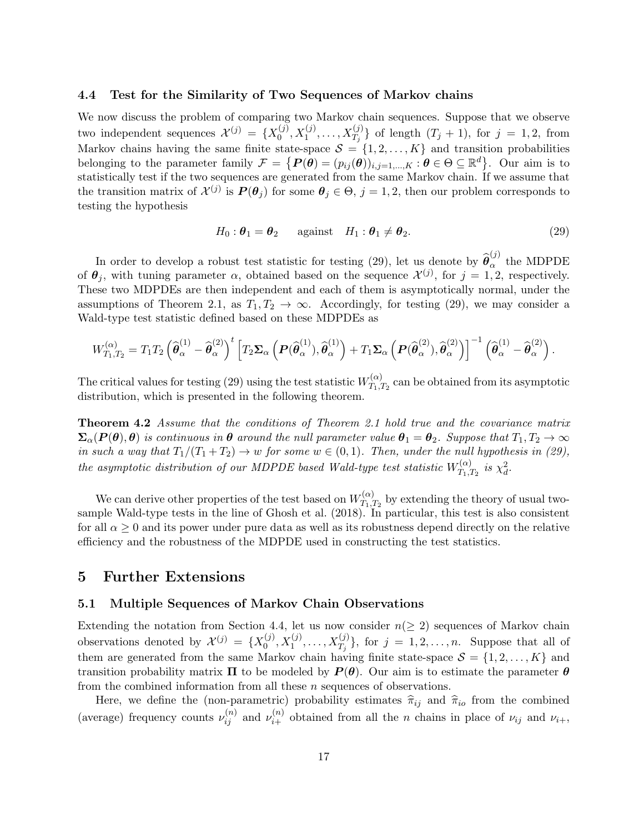#### 4.4 Test for the Similarity of Two Sequences of Markov chains

We now discuss the problem of comparing two Markov chain sequences. Suppose that we observe two independent sequences  $\mathcal{X}^{(j)} = \{X_0^{(j)}\}$  $\{(\begin{matrix} j\ 0\end{matrix}), X_1^{(j)}, \ldots, X_{T_j}^{(j)}\}$  of length  $(T_j + 1)$ , for  $j = 1, 2$ , from Markov chains having the same finite state-space  $S = \{1, 2, ..., K\}$  and transition probabilities belonging to the parameter family  $\mathcal{F} = \{P(\theta) = (p_{ij}(\theta))_{i,j=1,\dots,K} : \theta \in \Theta \subseteq \mathbb{R}^d\}$ . Our aim is to statistically test if the two sequences are generated from the same Markov chain. If we assume that the transition matrix of  $\mathcal{X}^{(j)}$  is  $\mathbf{P}(\theta_j)$  for some  $\theta_j \in \Theta$ ,  $j = 1, 2$ , then our problem corresponds to testing the hypothesis

$$
H_0: \boldsymbol{\theta}_1 = \boldsymbol{\theta}_2 \qquad \text{against} \quad H_1: \boldsymbol{\theta}_1 \neq \boldsymbol{\theta}_2. \tag{29}
$$

In order to develop a robust test statistic for testing (29), let us denote by  $\hat{\theta}_{\alpha}^{(j)}$  the MDPDE of  $\theta_j$ , with tuning parameter  $\alpha$ , obtained based on the sequence  $\mathcal{X}^{(j)}$ , for  $j = 1, 2$ , respectively. These two MDPDEs are then independent and each of them is asymptotically normal, under the assumptions of Theorem 2.1, as  $T_1, T_2 \to \infty$ . Accordingly, for testing (29), we may consider a Wald-type test statistic defined based on these MDPDEs as

$$
W^{(\alpha)}_{T_1,T_2} = T_1 T_2 \left( \widehat{\boldsymbol{\theta}}_{\alpha}^{(1)} - \widehat{\boldsymbol{\theta}}_{\alpha}^{(2)} \right)^t \left[ T_2 \boldsymbol{\Sigma}_{\alpha} \left( \boldsymbol{P}(\widehat{\boldsymbol{\theta}}_{\alpha}^{(1)}), \widehat{\boldsymbol{\theta}}_{\alpha}^{(1)} \right) + T_1 \boldsymbol{\Sigma}_{\alpha} \left( \boldsymbol{P}(\widehat{\boldsymbol{\theta}}_{\alpha}^{(2)}), \widehat{\boldsymbol{\theta}}_{\alpha}^{(2)} \right) \right]^{-1} \left( \widehat{\boldsymbol{\theta}}_{\alpha}^{(1)} - \widehat{\boldsymbol{\theta}}_{\alpha}^{(2)} \right).
$$

The critical values for testing (29) using the test statistic  $W_{T_{1}}^{(\alpha)}$  $T_{1,T_2}^{(\alpha)}$  can be obtained from its asymptotic distribution, which is presented in the following theorem.

Theorem 4.2 Assume that the conditions of Theorem 2.1 hold true and the covariance matrix  $\Sigma_{\alpha}(P(\theta),\theta)$  is continuous in  $\theta$  around the null parameter value  $\theta_1 = \theta_2$ . Suppose that  $T_1, T_2 \to \infty$ in such a way that  $T_1/(T_1+T_2) \to w$  for some  $w \in (0,1)$ . Then, under the null hypothesis in (29), the asymptotic distribution of our MDPDE based Wald-type test statistic  $W_{T_{1}}^{(\alpha)}$  $T_1,T_2$  is  $\chi_d^2$ .

We can derive other properties of the test based on  $W_{T_{1}}^{(\alpha)}$  $T_{1,T_2}^{(\alpha)}$  by extending the theory of usual twosample Wald-type tests in the line of Ghosh et al. (2018). In particular, this test is also consistent for all  $\alpha > 0$  and its power under pure data as well as its robustness depend directly on the relative efficiency and the robustness of the MDPDE used in constructing the test statistics.

## 5 Further Extensions

## 5.1 Multiple Sequences of Markov Chain Observations

Extending the notation from Section 4.4, let us now consider  $n(\geq 2)$  sequences of Markov chain observations denoted by  $\mathcal{X}^{(j)} = \{X_0^{(j)}\}$  $S_0^{(j)}, X_1^{(j)}, \ldots, X_{T_j}^{(j)}\},$  for  $j = 1, 2, \ldots, n$ . Suppose that all of them are generated from the same Markov chain having finite state-space  $\mathcal{S} = \{1, 2, ..., K\}$  and transition probability matrix  $\Pi$  to be modeled by  $P(\theta)$ . Our aim is to estimate the parameter  $\theta$ from the combined information from all these  $n$  sequences of observations.

Here, we define the (non-parametric) probability estimates  $\hat{\pi}_{ij}$  and  $\hat{\pi}_{io}$  from the combined (average) frequency counts  $\nu_{ij}^{(n)}$  and  $\nu_{i+}^{(n)}$  obtained from all the *n* chains in place of  $\nu_{ij}$  and  $\nu_{i+}$ ,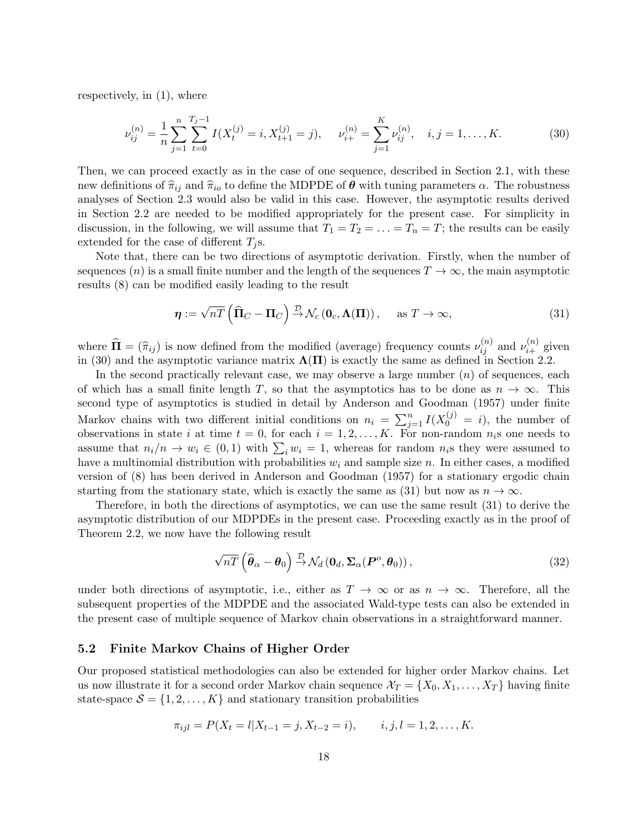respectively, in (1), where

$$
\nu_{ij}^{(n)} = \frac{1}{n} \sum_{j=1}^{n} \sum_{t=0}^{T_j - 1} I(X_t^{(j)} = i, X_{t+1}^{(j)} = j), \quad \nu_{i+}^{(n)} = \sum_{j=1}^{K} \nu_{ij}^{(n)}, \quad i, j = 1, \dots, K. \tag{30}
$$

Then, we can proceed exactly as in the case of one sequence, described in Section 2.1, with these new definitions of  $\hat{\pi}_{ij}$  and  $\hat{\pi}_{io}$  to define the MDPDE of  $\theta$  with tuning parameters  $\alpha$ . The robustness analyses of Section 2.3 would also be valid in this case. However, the asymptotic results derived in Section 2.2 are needed to be modified appropriately for the present case. For simplicity in discussion, in the following, we will assume that  $T_1 = T_2 = \ldots = T_n = T$ ; the results can be easily extended for the case of different  $T_j$ s.

Note that, there can be two directions of asymptotic derivation. Firstly, when the number of sequences (n) is a small finite number and the length of the sequences  $T \to \infty$ , the main asymptotic results (8) can be modified easily leading to the result

$$
\boldsymbol{\eta} := \sqrt{n} \left( \widehat{\Pi}_C - \Pi_C \right) \stackrel{\mathcal{D}}{\rightarrow} \mathcal{N}_c \left( \mathbf{0}_c, \boldsymbol{\Lambda}(\Pi) \right), \quad \text{as } T \to \infty,
$$
\n(31)

where  $\widehat{\mathbf{\Pi}} = (\widehat{\pi}_{ij})$  is now defined from the modified (average) frequency counts  $\nu_{ij}^{(n)}$  and  $\nu_{i+}^{(n)}$  given in (30) and the asymptotic variance matrix  $\Lambda(\Pi)$  is exactly the same as defined in Section 2.2.

In the second practically relevant case, we may observe a large number  $(n)$  of sequences, each of which has a small finite length T, so that the asymptotics has to be done as  $n \to \infty$ . This second type of asymptotics is studied in detail by Anderson and Goodman (1957) under finite Markov chains with two different initial conditions on  $n_i = \sum_{j=1}^n I(X_0^{(j)} = i)$ , the number of observations in state i at time  $t = 0$ , for each  $i = 1, 2, ..., K$ . For non-random  $n_i$ s one needs to assume that  $n_i/n \to w_i \in (0,1)$  with  $\sum_i w_i = 1$ , whereas for random  $n_i$ s they were assumed to have a multinomial distribution with probabilities  $w_i$  and sample size n. In either cases, a modified version of (8) has been derived in Anderson and Goodman (1957) for a stationary ergodic chain starting from the stationary state, which is exactly the same as (31) but now as  $n \to \infty$ .

Therefore, in both the directions of asymptotics, we can use the same result (31) to derive the asymptotic distribution of our MDPDEs in the present case. Proceeding exactly as in the proof of Theorem 2.2, we now have the following result

$$
\sqrt{n}\overline{T}\left(\widehat{\boldsymbol{\theta}}_{\alpha}-\boldsymbol{\theta}_{0}\right)\stackrel{\mathcal{D}}{\rightarrow}\mathcal{N}_{d}\left(\mathbf{0}_{d},\boldsymbol{\Sigma}_{\alpha}(\boldsymbol{P}^{o},\boldsymbol{\theta}_{0})\right),\tag{32}
$$

under both directions of asymptotic, i.e., either as  $T \to \infty$  or as  $n \to \infty$ . Therefore, all the subsequent properties of the MDPDE and the associated Wald-type tests can also be extended in the present case of multiple sequence of Markov chain observations in a straightforward manner.

#### 5.2 Finite Markov Chains of Higher Order

Our proposed statistical methodologies can also be extended for higher order Markov chains. Let us now illustrate it for a second order Markov chain sequence  $\mathcal{X}_T = \{X_0, X_1, \ldots, X_T\}$  having finite state-space  $S = \{1, 2, ..., K\}$  and stationary transition probabilities

$$
\pi_{ijl} = P(X_t = l | X_{t-1} = j, X_{t-2} = i), \qquad i, j, l = 1, 2, \dots, K.
$$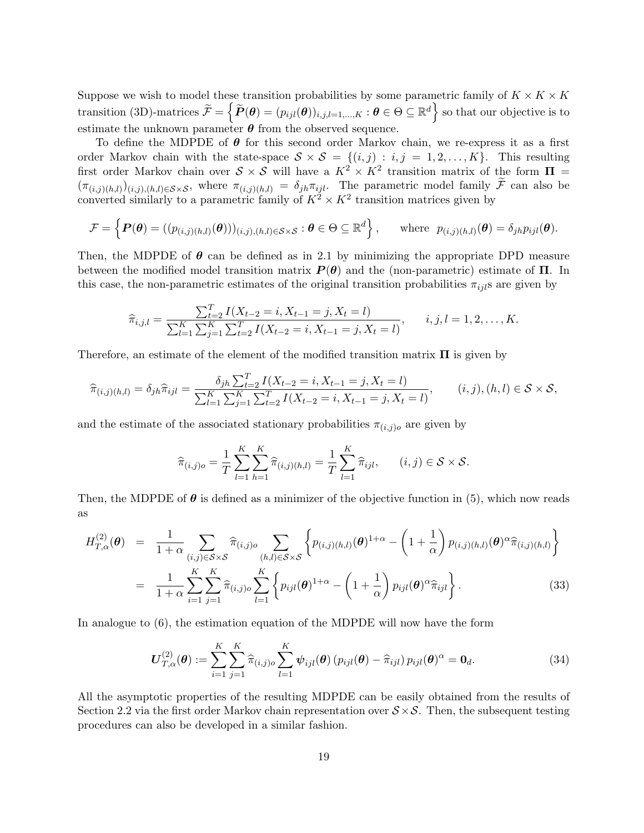Suppose we wish to model these transition probabilities by some parametric family of  $K \times K \times K$ transition (3D)-matrices  $\widetilde{\mathcal{F}} = \left\{ \widetilde{P}(\boldsymbol{\theta}) = (p_{ijl}(\boldsymbol{\theta}))_{i,j,l=1,...,K} : \boldsymbol{\theta} \in \Theta \subseteq \mathbb{R}^d \right\}$  so that our objective is to estimate the unknown parameter  $\theta$  from the observed sequence.

To define the MDPDE of  $\theta$  for this second order Markov chain, we re-express it as a first order Markov chain with the state-space  $S \times S = \{(i, j) : i, j = 1, 2, ..., K\}$ . This resulting first order Markov chain over  $S \times S$  will have a  $K^2 \times K^2$  transition matrix of the form  $\Pi =$  $(\pi_{(i,j)(h,l)})(_{i,j),(h,l)\in\mathcal{S}\times\mathcal{S}}$ , where  $\pi_{(i,j)(h,l)} = \delta_{jh}\pi_{ijl}$ . The parametric model family  $\mathcal{F}$  can also be converted similarly to a parametric family of  $K^2 \times K^2$  transition matrices given by

$$
\mathcal{F} = \left\{ \boldsymbol{P}(\boldsymbol{\theta}) = ((p_{(i,j)(h,l)}(\boldsymbol{\theta})))_{(i,j),(h,l)\in\mathcal{S}\times\mathcal{S}} : \boldsymbol{\theta} \in \Theta \subseteq \mathbb{R}^d \right\}, \text{ where } p_{(i,j)(h,l)}(\boldsymbol{\theta}) = \delta_{jh} p_{ijl}(\boldsymbol{\theta}).
$$

Then, the MDPDE of  $\theta$  can be defined as in 2.1 by minimizing the appropriate DPD measure between the modified model transition matrix  $P(\theta)$  and the (non-parametric) estimate of  $\Pi$ . In this case, the non-parametric estimates of the original transition probabilities  $\pi_{ijl}$ s are given by

$$
\widehat{\pi}_{i,j,l} = \frac{\sum_{t=2}^{T} I(X_{t-2} = i, X_{t-1} = j, X_t = l)}{\sum_{l=1}^{K} \sum_{j=1}^{K} \sum_{t=2}^{T} I(X_{t-2} = i, X_{t-1} = j, X_t = l)}, \qquad i, j, l = 1, 2, \dots, K.
$$

Therefore, an estimate of the element of the modified transition matrix  $\Pi$  is given by

$$
\widehat{\pi}_{(i,j)(h,l)} = \delta_{jh}\widehat{\pi}_{ijl} = \frac{\delta_{jh}\sum_{t=2}^{T}I(X_{t-2} = i, X_{t-1} = j, X_t = l)}{\sum_{l=1}^{K}\sum_{j=1}^{K}\sum_{t=2}^{T}I(X_{t-2} = i, X_{t-1} = j, X_t = l)}, \qquad (i,j),(h,l) \in \mathcal{S} \times \mathcal{S},
$$

and the estimate of the associated stationary probabilities  $\pi_{(i,j)o}$  are given by

$$
\widehat{\pi}_{(i,j)o} = \frac{1}{T} \sum_{l=1}^{K} \sum_{h=1}^{K} \widehat{\pi}_{(i,j)(h,l)} = \frac{1}{T} \sum_{l=1}^{K} \widehat{\pi}_{ijl}, \qquad (i,j) \in S \times S.
$$

Then, the MDPDE of  $\theta$  is defined as a minimizer of the objective function in (5), which now reads as

$$
H_{T,\alpha}^{(2)}(\boldsymbol{\theta}) = \frac{1}{1+\alpha} \sum_{(i,j)\in\mathcal{S}\times\mathcal{S}} \widehat{\pi}_{(i,j)o} \sum_{(h,l)\in\mathcal{S}\times\mathcal{S}} \left\{ p_{(i,j)(h,l)}(\boldsymbol{\theta})^{1+\alpha} - \left(1+\frac{1}{\alpha}\right) p_{(i,j)(h,l)}(\boldsymbol{\theta})^{\alpha} \widehat{\pi}_{(i,j)(h,l)} \right\}
$$
  

$$
= \frac{1}{1+\alpha} \sum_{i=1}^{K} \sum_{j=1}^{K} \widehat{\pi}_{(i,j)o} \sum_{l=1}^{K} \left\{ p_{ijl}(\boldsymbol{\theta})^{1+\alpha} - \left(1+\frac{1}{\alpha}\right) p_{ijl}(\boldsymbol{\theta})^{\alpha} \widehat{\pi}_{ijl} \right\}.
$$
 (33)

In analogue to (6), the estimation equation of the MDPDE will now have the form

$$
\boldsymbol{U}_{T,\alpha}^{(2)}(\boldsymbol{\theta}) := \sum_{i=1}^{K} \sum_{j=1}^{K} \widehat{\pi}_{(i,j)o} \sum_{l=1}^{K} \boldsymbol{\psi}_{ijl}(\boldsymbol{\theta}) \left( p_{ijl}(\boldsymbol{\theta}) - \widehat{\pi}_{ijl} \right) p_{ijl}(\boldsymbol{\theta})^{\alpha} = \boldsymbol{0}_d.
$$
 (34)

All the asymptotic properties of the resulting MDPDE can be easily obtained from the results of Section 2.2 via the first order Markov chain representation over  $S \times S$ . Then, the subsequent testing procedures can also be developed in a similar fashion.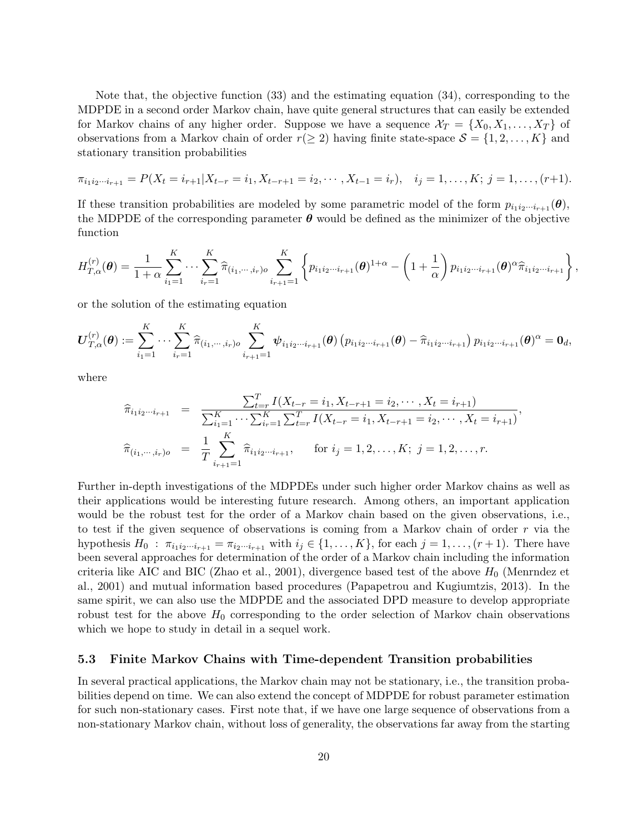Note that, the objective function (33) and the estimating equation (34), corresponding to the MDPDE in a second order Markov chain, have quite general structures that can easily be extended for Markov chains of any higher order. Suppose we have a sequence  $\mathcal{X}_T = \{X_0, X_1, \ldots, X_T\}$  of observations from a Markov chain of order  $r(\geq 2)$  having finite state-space  $\mathcal{S} = \{1, 2, ..., K\}$  and stationary transition probabilities

$$
\pi_{i_1i_2\cdots i_{r+1}} = P(X_t = i_{r+1}|X_{t-r} = i_1, X_{t-r+1} = i_2, \cdots, X_{t-1} = i_r), \quad i_j = 1, \ldots, K; \ j = 1, \ldots, (r+1).
$$

If these transition probabilities are modeled by some parametric model of the form  $p_{i_1 i_2 \cdots i_{r+1}}(\theta)$ , the MDPDE of the corresponding parameter  $\theta$  would be defined as the minimizer of the objective function

$$
H_{T,\alpha}^{(r)}(\boldsymbol{\theta}) = \frac{1}{1+\alpha} \sum_{i_1=1}^K \cdots \sum_{i_r=1}^K \widehat{\pi}_{(i_1,\cdots,i_r)o} \sum_{i_{r+1}=1}^K \left\{ p_{i_1 i_2 \cdots i_{r+1}}(\boldsymbol{\theta})^{1+\alpha} - \left(1+\frac{1}{\alpha}\right) p_{i_1 i_2 \cdots i_{r+1}}(\boldsymbol{\theta})^{\alpha} \widehat{\pi}_{i_1 i_2 \cdots i_{r+1}} \right\},
$$

or the solution of the estimating equation

$$
\boldsymbol{U}_{T,\alpha}^{(r)}(\boldsymbol{\theta}) := \sum_{i_1=1}^K \cdots \sum_{i_r=1}^K \widehat{\pi}_{(i_1,\cdots,i_r)o} \sum_{i_{r+1}=1}^K \boldsymbol{\psi}_{i_1 i_2 \cdots i_{r+1}}(\boldsymbol{\theta}) \left( p_{i_1 i_2 \cdots i_{r+1}}(\boldsymbol{\theta}) - \widehat{\pi}_{i_1 i_2 \cdots i_{r+1}} \right) p_{i_1 i_2 \cdots i_{r+1}}(\boldsymbol{\theta})^{\alpha} = \mathbf{0}_d,
$$

where

$$
\widehat{\pi}_{i_1 i_2 \cdots i_{r+1}} = \frac{\sum_{t=r}^{T} I(X_{t-r} = i_1, X_{t-r+1} = i_2, \cdots, X_t = i_{r+1})}{\sum_{i_1=1}^{K} \cdots \sum_{i_r=1}^{K} \sum_{t=r}^{T} I(X_{t-r} = i_1, X_{t-r+1} = i_2, \cdots, X_t = i_{r+1})},
$$
\n
$$
\widehat{\pi}_{(i_1, \cdots, i_r)o} = \frac{1}{T} \sum_{i_{r+1}=1}^{K} \widehat{\pi}_{i_1 i_2 \cdots i_{r+1}}, \quad \text{for } i_j = 1, 2, \ldots, K; \ j = 1, 2, \ldots, r.
$$

Further in-depth investigations of the MDPDEs under such higher order Markov chains as well as their applications would be interesting future research. Among others, an important application would be the robust test for the order of a Markov chain based on the given observations, i.e., to test if the given sequence of observations is coming from a Markov chain of order  $r$  via the hypothesis  $H_0$ :  $\pi_{i_1 i_2 \cdots i_{r+1}} = \pi_{i_2 \cdots i_{r+1}}$  with  $i_j \in \{1, ..., K\}$ , for each  $j = 1, ..., (r+1)$ . There have been several approaches for determination of the order of a Markov chain including the information criteria like AIC and BIC (Zhao et al., 2001), divergence based test of the above  $H_0$  (Menrndez et al., 2001) and mutual information based procedures (Papapetrou and Kugiumtzis, 2013). In the same spirit, we can also use the MDPDE and the associated DPD measure to develop appropriate robust test for the above  $H_0$  corresponding to the order selection of Markov chain observations which we hope to study in detail in a sequel work.

## 5.3 Finite Markov Chains with Time-dependent Transition probabilities

In several practical applications, the Markov chain may not be stationary, i.e., the transition probabilities depend on time. We can also extend the concept of MDPDE for robust parameter estimation for such non-stationary cases. First note that, if we have one large sequence of observations from a non-stationary Markov chain, without loss of generality, the observations far away from the starting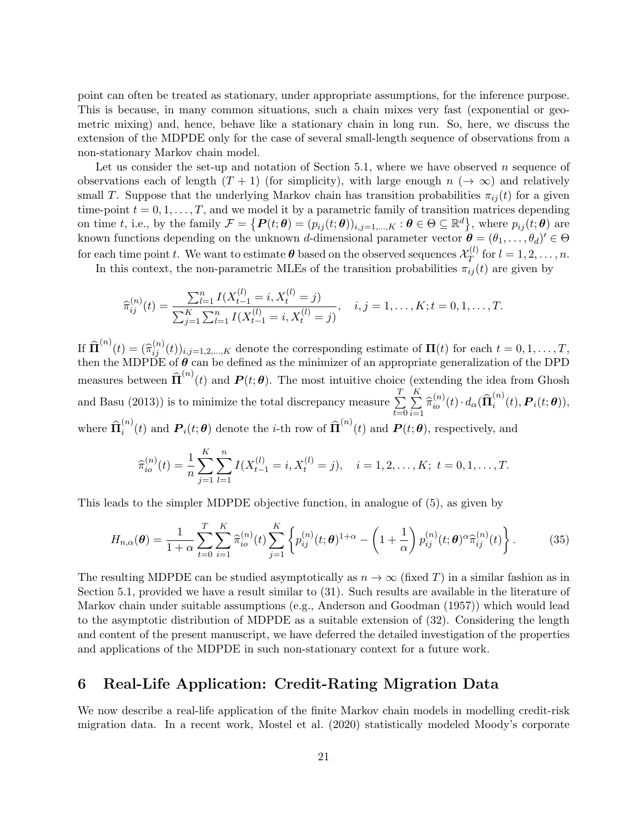point can often be treated as stationary, under appropriate assumptions, for the inference purpose. This is because, in many common situations, such a chain mixes very fast (exponential or geometric mixing) and, hence, behave like a stationary chain in long run. So, here, we discuss the extension of the MDPDE only for the case of several small-length sequence of observations from a non-stationary Markov chain model.

Let us consider the set-up and notation of Section 5.1, where we have observed  $n$  sequence of observations each of length  $(T + 1)$  (for simplicity), with large enough  $n \rightarrow \infty$ ) and relatively small T. Suppose that the underlying Markov chain has transition probabilities  $\pi_{ij}(t)$  for a given time-point  $t = 0, 1, ..., T$ , and we model it by a parametric family of transition matrices depending on time t, i.e., by the family  $\mathcal{F} = \{P(t; \theta) = (p_{ij}(t; \theta))_{i,j=1,\dots,K} : \theta \in \Theta \subseteq \mathbb{R}^d\}$ , where  $p_{ij}(t; \theta)$  are known functions depending on the unknown d-dimensional parameter vector  $\theta = (\theta_1, \dots, \theta_d)' \in \Theta$ for each time point t. We want to estimate  $\boldsymbol{\theta}$  based on the observed sequences  $\mathcal{X}_T^{(l)}$  $T^{(l)}$  for  $l = 1, 2, ..., n$ .

In this context, the non-parametric MLEs of the transition probabilities  $\pi_{ij}(t)$  are given by

$$
\widehat{\pi}_{ij}^{(n)}(t) = \frac{\sum_{l=1}^{n} I(X_{t-1}^{(l)} = i, X_t^{(l)} = j)}{\sum_{j=1}^{K} \sum_{l=1}^{n} I(X_{t-1}^{(l)} = i, X_t^{(l)} = j)}, \quad i, j = 1, \dots, K; t = 0, 1, \dots, T.
$$

If  $\widehat{\mathbf{\Pi}}^{(n)}(t) = (\widehat{\pi}_{ij}^{(n)}(t))_{i,j=1,2,...,K}$  denote the corresponding estimate of  $\mathbf{\Pi}(t)$  for each  $t = 0, 1, ..., T$ , then the MDPDE of  $\theta$  can be defined as the minimizer of an appropriate generalization of the DPD measures between  $\widehat{\Pi}^{(n)}(t)$  and  $P(t; \theta)$ . The most intuitive choice (extending the idea from Ghosh and Basu (2013)) is to minimize the total discrepancy measure  $\sum^{T}$  $_{t=0}$  $\frac{K}{\sum}$  $\sum_{i=1}^{\mathbf{n}} \widehat{\pi}_{io}^{(n)}(t) \cdot d_{\alpha}(\widehat{\mathbf{\Pi}}_{i}^{(n)})$  $\sum_i^{(n)}(t), \boldsymbol{P}_i(t;\boldsymbol{\theta})),$ where  $\widehat{\Pi}_i^{(n)}$  $\hat{\mathbf{H}}_i^{(n)}(t)$  and  $\mathbf{P}_i(t;\boldsymbol{\theta})$  denote the *i*-th row of  $\widehat{\mathbf{\Pi}}^{(n)}(t)$  and  $\mathbf{P}(t;\boldsymbol{\theta})$ , respectively, and

$$
\widehat{\pi}_{io}^{(n)}(t) = \frac{1}{n} \sum_{j=1}^{K} \sum_{l=1}^{n} I(X_{t-1}^{(l)} = i, X_t^{(l)} = j), \quad i = 1, 2, \dots, K; \ t = 0, 1, \dots, T.
$$

This leads to the simpler MDPDE objective function, in analogue of (5), as given by

$$
H_{n,\alpha}(\theta) = \frac{1}{1+\alpha} \sum_{t=0}^{T} \sum_{i=1}^{K} \widehat{\pi}_{io}^{(n)}(t) \sum_{j=1}^{K} \left\{ p_{ij}^{(n)}(t; \theta)^{1+\alpha} - \left( 1 + \frac{1}{\alpha} \right) p_{ij}^{(n)}(t; \theta)^{\alpha} \widehat{\pi}_{ij}^{(n)}(t) \right\}.
$$
 (35)

The resulting MDPDE can be studied asymptotically as  $n \to \infty$  (fixed T) in a similar fashion as in Section 5.1, provided we have a result similar to (31). Such results are available in the literature of Markov chain under suitable assumptions (e.g., Anderson and Goodman (1957)) which would lead to the asymptotic distribution of MDPDE as a suitable extension of (32). Considering the length and content of the present manuscript, we have deferred the detailed investigation of the properties and applications of the MDPDE in such non-stationary context for a future work.

## 6 Real-Life Application: Credit-Rating Migration Data

We now describe a real-life application of the finite Markov chain models in modelling credit-risk migration data. In a recent work, Mostel et al. (2020) statistically modeled Moody's corporate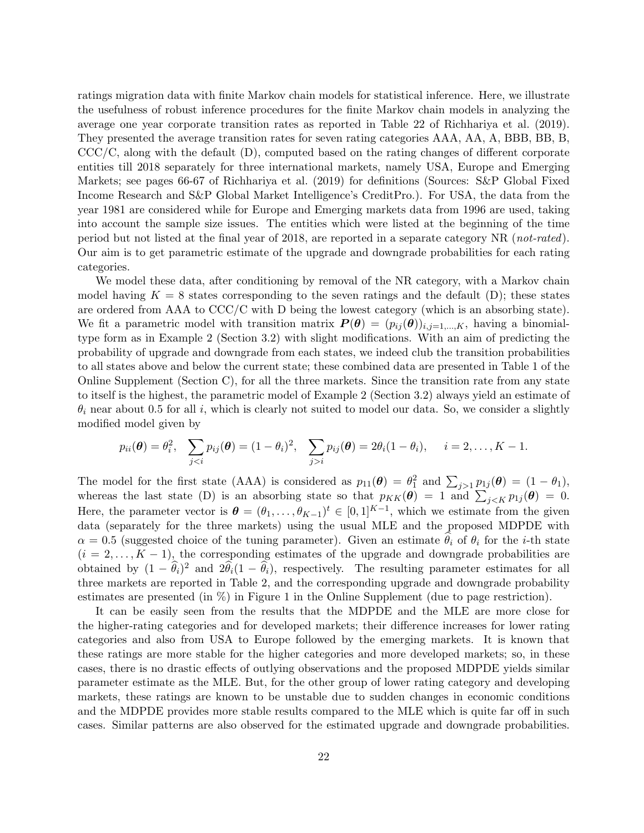ratings migration data with finite Markov chain models for statistical inference. Here, we illustrate the usefulness of robust inference procedures for the finite Markov chain models in analyzing the average one year corporate transition rates as reported in Table 22 of Richhariya et al. (2019). They presented the average transition rates for seven rating categories AAA, AA, A, BBB, BB, B, CCC/C, along with the default (D), computed based on the rating changes of different corporate entities till 2018 separately for three international markets, namely USA, Europe and Emerging Markets; see pages 66-67 of Richhariya et al. (2019) for definitions (Sources: S&P Global Fixed Income Research and S&P Global Market Intelligence's CreditPro.). For USA, the data from the year 1981 are considered while for Europe and Emerging markets data from 1996 are used, taking into account the sample size issues. The entities which were listed at the beginning of the time period but not listed at the final year of 2018, are reported in a separate category NR (not-rated). Our aim is to get parametric estimate of the upgrade and downgrade probabilities for each rating categories.

We model these data, after conditioning by removal of the NR category, with a Markov chain model having  $K = 8$  states corresponding to the seven ratings and the default (D); these states are ordered from AAA to CCC/C with D being the lowest category (which is an absorbing state). We fit a parametric model with transition matrix  $P(\theta) = (p_{ij}(\theta))_{i,j=1,\dots,K}$ , having a binomialtype form as in Example 2 (Section 3.2) with slight modifications. With an aim of predicting the probability of upgrade and downgrade from each states, we indeed club the transition probabilities to all states above and below the current state; these combined data are presented in Table 1 of the Online Supplement (Section C), for all the three markets. Since the transition rate from any state to itself is the highest, the parametric model of Example 2 (Section 3.2) always yield an estimate of  $\theta_i$  near about 0.5 for all i, which is clearly not suited to model our data. So, we consider a slightly modified model given by

$$
p_{ii}(\boldsymbol{\theta}) = \theta_i^2, \quad \sum_{j < i} p_{ij}(\boldsymbol{\theta}) = (1 - \theta_i)^2, \quad \sum_{j > i} p_{ij}(\boldsymbol{\theta}) = 2\theta_i(1 - \theta_i), \quad i = 2, \dots, K - 1.
$$

The model for the first state (AAA) is considered as  $p_{11}(\theta) = \theta_1^2$  and  $\sum_{j>1} p_{1j}(\theta) = (1 - \theta_1)$ , whereas the last state (D) is an absorbing state so that  $p_{KK}(\theta) = 1$  and  $\sum_{j \leq K} p_{1j}(\theta) = 0$ . Here, the parameter vector is  $\boldsymbol{\theta} = (\theta_1, \dots, \theta_{K-1})^t \in [0,1]^{K-1}$ , which we estimate from the given data (separately for the three markets) using the usual MLE and the proposed MDPDE with  $\alpha = 0.5$  (suggested choice of the tuning parameter). Given an estimate  $\hat{\theta}_i$  of  $\theta_i$  for the *i*-th state  $(i = 2, \ldots, K - 1)$ , the corresponding estimates of the upgrade and downgrade probabilities are obtained by  $(1 - \hat{\theta}_i)^2$  and  $2\hat{\theta}_i(1 - \hat{\theta}_i)$ , respectively. The resulting parameter estimates for all three markets are reported in Table 2, and the corresponding upgrade and downgrade probability estimates are presented (in %) in Figure 1 in the Online Supplement (due to page restriction).

It can be easily seen from the results that the MDPDE and the MLE are more close for the higher-rating categories and for developed markets; their difference increases for lower rating categories and also from USA to Europe followed by the emerging markets. It is known that these ratings are more stable for the higher categories and more developed markets; so, in these cases, there is no drastic effects of outlying observations and the proposed MDPDE yields similar parameter estimate as the MLE. But, for the other group of lower rating category and developing markets, these ratings are known to be unstable due to sudden changes in economic conditions and the MDPDE provides more stable results compared to the MLE which is quite far off in such cases. Similar patterns are also observed for the estimated upgrade and downgrade probabilities.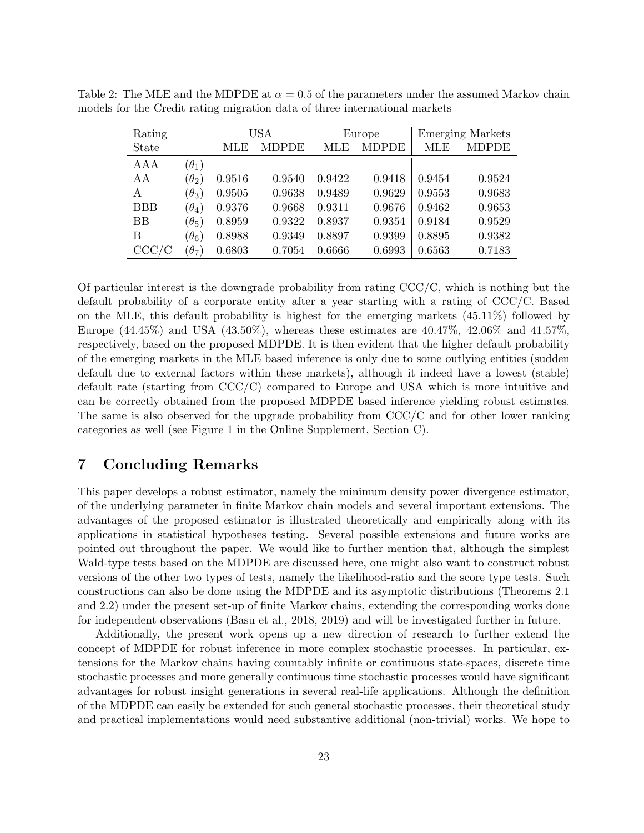| Rating     |              | USA    |              |        | Europe       | <b>Emerging Markets</b> |              |  |
|------------|--------------|--------|--------------|--------|--------------|-------------------------|--------------|--|
| State      |              | MLE    | <b>MDPDE</b> | MLE    | <b>MDPDE</b> | MLE                     | <b>MDPDE</b> |  |
| <b>AAA</b> | $(\theta_1)$ |        |              |        |              |                         |              |  |
| AA         | $(\theta_2)$ | 0.9516 | 0.9540       | 0.9422 | 0.9418       | 0.9454                  | 0.9524       |  |
| A          | $(\theta_3)$ | 0.9505 | 0.9638       | 0.9489 | 0.9629       | 0.9553                  | 0.9683       |  |
| <b>BBB</b> | $(\theta_4)$ | 0.9376 | 0.9668       | 0.9311 | 0.9676       | 0.9462                  | 0.9653       |  |
| BB         | $(\theta_5)$ | 0.8959 | 0.9322       | 0.8937 | 0.9354       | 0.9184                  | 0.9529       |  |
| В          | $(\theta_6)$ | 0.8988 | 0.9349       | 0.8897 | 0.9399       | 0.8895                  | 0.9382       |  |
| CCC/C      | $(\theta_7)$ | 0.6803 | 0.7054       | 0.6666 | 0.6993       | 0.6563                  | 0.7183       |  |

Table 2: The MLE and the MDPDE at  $\alpha = 0.5$  of the parameters under the assumed Markov chain models for the Credit rating migration data of three international markets

Of particular interest is the downgrade probability from rating  $\text{CCC}/\text{C}$ , which is nothing but the default probability of a corporate entity after a year starting with a rating of CCC/C. Based on the MLE, this default probability is highest for the emerging markets (45.11%) followed by Europe  $(44.45\%)$  and USA  $(43.50\%)$ , whereas these estimates are  $40.47\%$ ,  $42.06\%$  and  $41.57\%$ , respectively, based on the proposed MDPDE. It is then evident that the higher default probability of the emerging markets in the MLE based inference is only due to some outlying entities (sudden default due to external factors within these markets), although it indeed have a lowest (stable) default rate (starting from CCC/C) compared to Europe and USA which is more intuitive and can be correctly obtained from the proposed MDPDE based inference yielding robust estimates. The same is also observed for the upgrade probability from CCC/C and for other lower ranking categories as well (see Figure 1 in the Online Supplement, Section C).

## 7 Concluding Remarks

This paper develops a robust estimator, namely the minimum density power divergence estimator, of the underlying parameter in finite Markov chain models and several important extensions. The advantages of the proposed estimator is illustrated theoretically and empirically along with its applications in statistical hypotheses testing. Several possible extensions and future works are pointed out throughout the paper. We would like to further mention that, although the simplest Wald-type tests based on the MDPDE are discussed here, one might also want to construct robust versions of the other two types of tests, namely the likelihood-ratio and the score type tests. Such constructions can also be done using the MDPDE and its asymptotic distributions (Theorems 2.1 and 2.2) under the present set-up of finite Markov chains, extending the corresponding works done for independent observations (Basu et al., 2018, 2019) and will be investigated further in future.

Additionally, the present work opens up a new direction of research to further extend the concept of MDPDE for robust inference in more complex stochastic processes. In particular, extensions for the Markov chains having countably infinite or continuous state-spaces, discrete time stochastic processes and more generally continuous time stochastic processes would have significant advantages for robust insight generations in several real-life applications. Although the definition of the MDPDE can easily be extended for such general stochastic processes, their theoretical study and practical implementations would need substantive additional (non-trivial) works. We hope to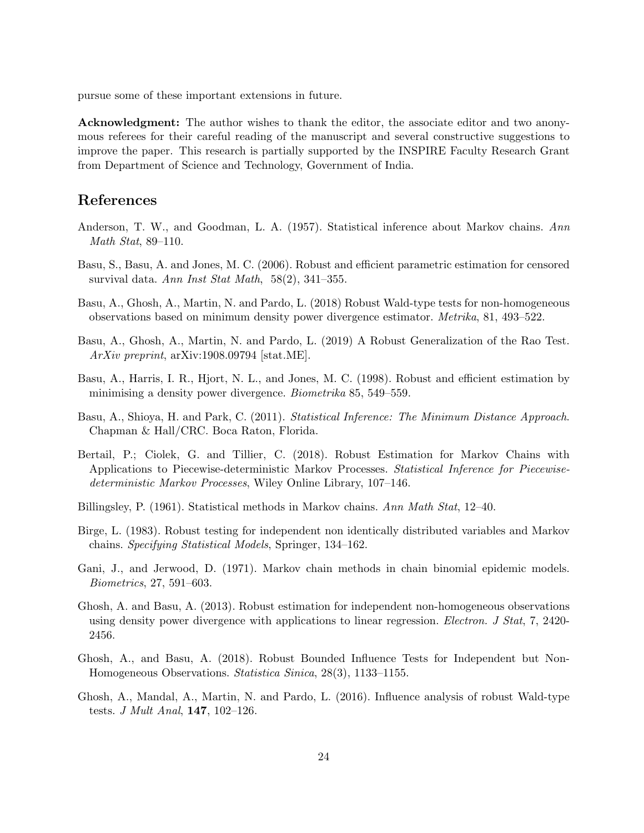pursue some of these important extensions in future.

Acknowledgment: The author wishes to thank the editor, the associate editor and two anonymous referees for their careful reading of the manuscript and several constructive suggestions to improve the paper. This research is partially supported by the INSPIRE Faculty Research Grant from Department of Science and Technology, Government of India.

## References

- Anderson, T. W., and Goodman, L. A. (1957). Statistical inference about Markov chains. Ann Math Stat, 89–110.
- Basu, S., Basu, A. and Jones, M. C. (2006). Robust and efficient parametric estimation for censored survival data. Ann Inst Stat Math,  $58(2)$ , 341–355.
- Basu, A., Ghosh, A., Martin, N. and Pardo, L. (2018) Robust Wald-type tests for non-homogeneous observations based on minimum density power divergence estimator. Metrika, 81, 493–522.
- Basu, A., Ghosh, A., Martin, N. and Pardo, L. (2019) A Robust Generalization of the Rao Test. ArXiv preprint, arXiv:1908.09794 [stat.ME].
- Basu, A., Harris, I. R., Hjort, N. L., and Jones, M. C. (1998). Robust and efficient estimation by minimising a density power divergence. *Biometrika* 85, 549–559.
- Basu, A., Shioya, H. and Park, C. (2011). Statistical Inference: The Minimum Distance Approach. Chapman & Hall/CRC. Boca Raton, Florida.
- Bertail, P.; Ciolek, G. and Tillier, C. (2018). Robust Estimation for Markov Chains with Applications to Piecewise-deterministic Markov Processes. Statistical Inference for Piecewisedeterministic Markov Processes, Wiley Online Library, 107–146.
- Billingsley, P. (1961). Statistical methods in Markov chains. Ann Math Stat, 12–40.
- Birge, L. (1983). Robust testing for independent non identically distributed variables and Markov chains. Specifying Statistical Models, Springer, 134–162.
- Gani, J., and Jerwood, D. (1971). Markov chain methods in chain binomial epidemic models. Biometrics, 27, 591–603.
- Ghosh, A. and Basu, A. (2013). Robust estimation for independent non-homogeneous observations using density power divergence with applications to linear regression. *Electron. J Stat*, 7, 2420-2456.
- Ghosh, A., and Basu, A. (2018). Robust Bounded Influence Tests for Independent but Non-Homogeneous Observations. Statistica Sinica, 28(3), 1133–1155.
- Ghosh, A., Mandal, A., Martin, N. and Pardo, L. (2016). Influence analysis of robust Wald-type tests. J Mult Anal, 147, 102–126.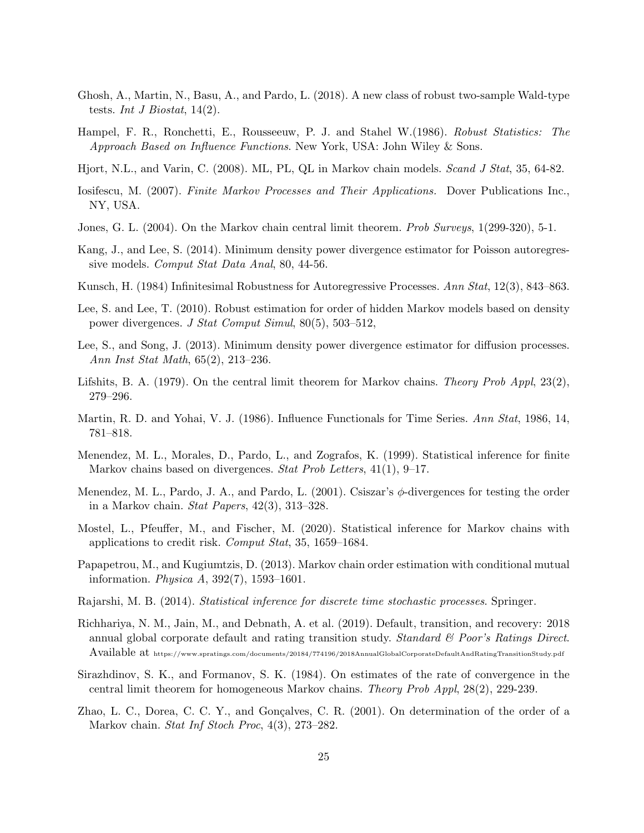- Ghosh, A., Martin, N., Basu, A., and Pardo, L. (2018). A new class of robust two-sample Wald-type tests. Int J Biostat,  $14(2)$ .
- Hampel, F. R., Ronchetti, E., Rousseeuw, P. J. and Stahel W.(1986). Robust Statistics: The Approach Based on Influence Functions. New York, USA: John Wiley & Sons.
- Hjort, N.L., and Varin, C. (2008). ML, PL, QL in Markov chain models. Scand J Stat, 35, 64-82.
- Iosifescu, M. (2007). Finite Markov Processes and Their Applications. Dover Publications Inc., NY, USA.
- Jones, G. L. (2004). On the Markov chain central limit theorem. Prob Surveys, 1(299-320), 5-1.
- Kang, J., and Lee, S. (2014). Minimum density power divergence estimator for Poisson autoregressive models. Comput Stat Data Anal, 80, 44-56.
- Kunsch, H. (1984) Infinitesimal Robustness for Autoregressive Processes. Ann Stat, 12(3), 843–863.
- Lee, S. and Lee, T. (2010). Robust estimation for order of hidden Markov models based on density power divergences. J Stat Comput Simul, 80(5), 503–512,
- Lee, S., and Song, J. (2013). Minimum density power divergence estimator for diffusion processes. Ann Inst Stat Math, 65(2), 213–236.
- Lifshits, B. A. (1979). On the central limit theorem for Markov chains. Theory Prob Appl,  $23(2)$ , 279–296.
- Martin, R. D. and Yohai, V. J. (1986). Influence Functionals for Time Series. Ann Stat, 1986, 14, 781–818.
- Menendez, M. L., Morales, D., Pardo, L., and Zografos, K. (1999). Statistical inference for finite Markov chains based on divergences. Stat Prob Letters, 41(1), 9–17.
- Menendez, M. L., Pardo, J. A., and Pardo, L. (2001). Csiszar's  $\phi$ -divergences for testing the order in a Markov chain. Stat Papers,  $42(3)$ ,  $313-328$ .
- Mostel, L., Pfeuffer, M., and Fischer, M. (2020). Statistical inference for Markov chains with applications to credit risk. Comput Stat, 35, 1659–1684.
- Papapetrou, M., and Kugiumtzis, D. (2013). Markov chain order estimation with conditional mutual information. Physica A, 392(7), 1593–1601.
- Rajarshi, M. B. (2014). Statistical inference for discrete time stochastic processes. Springer.
- Richhariya, N. M., Jain, M., and Debnath, A. et al. (2019). Default, transition, and recovery: 2018 annual global corporate default and rating transition study. Standard  $\mathcal B$  Poor's Ratings Direct. Available at https://www.spratings.com/documents/20184/774196/2018AnnualGlobalCorporateDefaultAndRatingTransitionStudy.pdf
- Sirazhdinov, S. K., and Formanov, S. K. (1984). On estimates of the rate of convergence in the central limit theorem for homogeneous Markov chains. Theory Prob Appl, 28(2), 229-239.
- Zhao, L. C., Dorea, C. C. Y., and Gonçalves, C. R. (2001). On determination of the order of a Markov chain. Stat Inf Stoch Proc, 4(3), 273–282.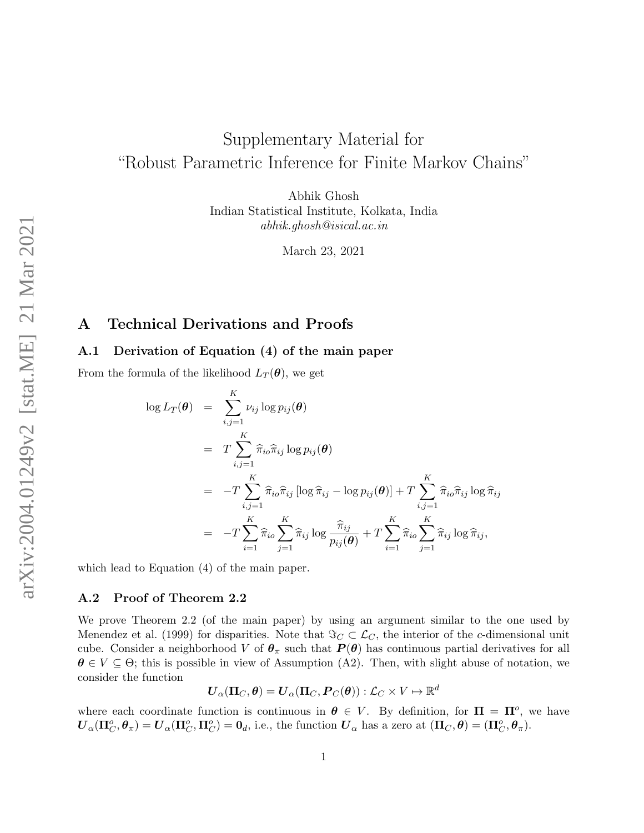# Supplementary Material for "Robust Parametric Inference for Finite Markov Chains"

Abhik Ghosh Indian Statistical Institute, Kolkata, India abhik.ghosh@isical.ac.in

March 23, 2021

## A Technical Derivations and Proofs

## A.1 Derivation of Equation (4) of the main paper

From the formula of the likelihood  $L_T(\theta)$ , we get

$$
\log L_T(\theta) = \sum_{i,j=1}^K \nu_{ij} \log p_{ij}(\theta)
$$
  
\n
$$
= T \sum_{i,j=1}^K \widehat{\pi}_{i\sigma} \widehat{\pi}_{ij} \log p_{ij}(\theta)
$$
  
\n
$$
= -T \sum_{i,j=1}^K \widehat{\pi}_{i\sigma} \widehat{\pi}_{ij} [\log \widehat{\pi}_{ij} - \log p_{ij}(\theta)] + T \sum_{i,j=1}^K \widehat{\pi}_{i\sigma} \widehat{\pi}_{ij} \log \widehat{\pi}_{ij}
$$
  
\n
$$
= -T \sum_{i=1}^K \widehat{\pi}_{i\sigma} \sum_{j=1}^K \widehat{\pi}_{ij} \log \frac{\widehat{\pi}_{ij}}{p_{ij}(\theta)} + T \sum_{i=1}^K \widehat{\pi}_{i\sigma} \sum_{j=1}^K \widehat{\pi}_{ij} \log \widehat{\pi}_{ij},
$$

which lead to Equation (4) of the main paper.

#### A.2 Proof of Theorem 2.2

We prove Theorem 2.2 (of the main paper) by using an argument similar to the one used by Menendez et al. (1999) for disparities. Note that  $\Im C \subset \mathcal{L}_C$ , the interior of the c-dimensional unit cube. Consider a neighborhood V of  $\theta_{\pi}$  such that  $P(\theta)$  has continuous partial derivatives for all  $\theta \in V \subseteq \Theta$ ; this is possible in view of Assumption (A2). Then, with slight abuse of notation, we consider the function

$$
\boldsymbol{U}_{\alpha}(\boldsymbol{\Pi}_C,\boldsymbol{\theta})=\boldsymbol{U}_{\alpha}(\boldsymbol{\Pi}_C,\boldsymbol{P}_C(\boldsymbol{\theta})): \mathcal{L}_C\times V\mapsto\mathbb{R}^d
$$

where each coordinate function is continuous in  $\theta \in V$ . By definition, for  $\Pi = \Pi^o$ , we have  $\boldsymbol{U}_{\alpha}(\boldsymbol{\Pi}_{C}^o, \boldsymbol{\theta}_{\pi}) = \boldsymbol{U}_{\alpha}(\boldsymbol{\Pi}_{C}^o, \boldsymbol{\Pi}_{C}^o) = \boldsymbol{0}_d$ , i.e., the function  $\boldsymbol{U}_{\alpha}$  has a zero at  $(\boldsymbol{\Pi}_{C}, \boldsymbol{\theta}) = (\boldsymbol{\Pi}_{C}^o, \boldsymbol{\theta}_{\pi})$ .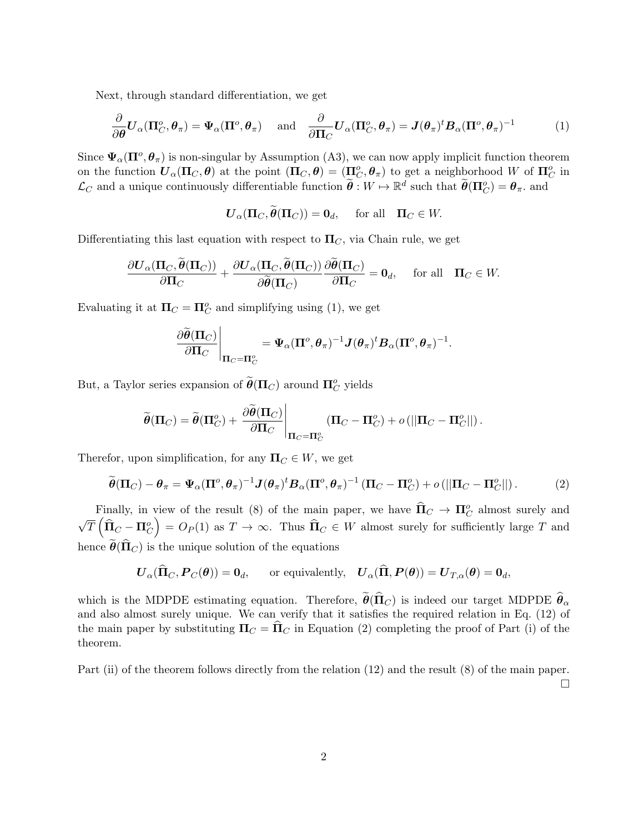Next, through standard differentiation, we get

$$
\frac{\partial}{\partial \boldsymbol{\theta}} \boldsymbol{U}_{\alpha}(\boldsymbol{\Pi}_{C}^{o}, \boldsymbol{\theta}_{\pi}) = \boldsymbol{\Psi}_{\alpha}(\boldsymbol{\Pi}^{o}, \boldsymbol{\theta}_{\pi}) \quad \text{and} \quad \frac{\partial}{\partial \boldsymbol{\Pi}_{C}} \boldsymbol{U}_{\alpha}(\boldsymbol{\Pi}_{C}^{o}, \boldsymbol{\theta}_{\pi}) = \boldsymbol{J}(\boldsymbol{\theta}_{\pi})^{\mathrm{t}} \boldsymbol{B}_{\alpha}(\boldsymbol{\Pi}^{o}, \boldsymbol{\theta}_{\pi})^{-1} \tag{1}
$$

Since  $\Psi_\alpha(\Pi^o, \theta_\pi)$  is non-singular by Assumption (A3), we can now apply implicit function theorem on the function  $\bm{U}_{\alpha}(\Pi_C, \bm{\theta})$  at the point  $(\Pi_C, \bm{\theta}) = (\Pi_C^o, \bm{\theta}_{\pi})$  to get a neighborhood W of  $\Pi_C^o$  in  $\mathcal{L}_C$  and a unique continuously differentiable function  $\widetilde{\boldsymbol{\theta}} : W \mapsto \mathbb{R}^d$  such that  $\widetilde{\boldsymbol{\theta}}(\Pi_C^o) = \boldsymbol{\theta}_{\pi}$ . and

$$
\mathbf{U}_{\alpha}(\mathbf{\Pi}_C, \widetilde{\boldsymbol{\theta}}(\mathbf{\Pi}_C)) = \mathbf{0}_d, \quad \text{ for all} \quad \mathbf{\Pi}_C \in W.
$$

Differentiating this last equation with respect to  $\Pi_C$ , via Chain rule, we get

$$
\frac{\partial \mathbf{U}_{\alpha}(\Pi_{C}, \widetilde{\boldsymbol{\theta}}(\Pi_{C}))}{\partial \Pi_{C}} + \frac{\partial \mathbf{U}_{\alpha}(\Pi_{C}, \widetilde{\boldsymbol{\theta}}(\Pi_{C}))}{\partial \widetilde{\boldsymbol{\theta}}(\Pi_{C})} \frac{\partial \widetilde{\boldsymbol{\theta}}(\Pi_{C})}{\partial \Pi_{C}} = \mathbf{0}_{d}, \quad \text{ for all} \quad \Pi_{C} \in W.
$$

Evaluating it at  $\Pi_C = \Pi_C^o$  and simplifying using (1), we get

$$
\left.\frac{\partial\widetilde{\boldsymbol\theta}(\mathbf{\Pi}_C)}{\partial\mathbf{\Pi}_C}\right|_{\mathbf{\Pi}_C=\mathbf{\Pi}_C^o}=\Psi_\alpha(\mathbf{\Pi}^o,{\boldsymbol\theta}_\pi)^{-1}\boldsymbol J({\boldsymbol\theta}_\pi)^t{\boldsymbol B}_\alpha(\mathbf{\Pi}^o,{\boldsymbol\theta}_\pi)^{-1}.
$$

But, a Taylor series expansion of  $\widetilde{\boldsymbol{\theta}}(\Pi_C)$  around  $\Pi_C^o$  yields

$$
\widetilde{\boldsymbol{\theta}}(\boldsymbol{\Pi}_C) = \widetilde{\boldsymbol{\theta}}(\boldsymbol{\Pi}_C^o) + \left. \frac{\partial \widetilde{\boldsymbol{\theta}}(\boldsymbol{\Pi}_C)}{\partial \boldsymbol{\Pi}_C} \right|_{\boldsymbol{\Pi}_C = \boldsymbol{\Pi}_C^o} (\boldsymbol{\Pi}_C - \boldsymbol{\Pi}_C^o) + o\left(\left\|\boldsymbol{\Pi}_C - \boldsymbol{\Pi}_C^o\right\|\right).
$$

Therefor, upon simplification, for any  $\Pi_C \in W$ , we get

$$
\widetilde{\boldsymbol{\theta}}(\Pi_C) - \boldsymbol{\theta}_{\pi} = \boldsymbol{\Psi}_{\alpha}(\Pi^{\circ}, \boldsymbol{\theta}_{\pi})^{-1} \boldsymbol{J}(\boldsymbol{\theta}_{\pi})^{\dagger} \boldsymbol{B}_{\alpha}(\Pi^{\circ}, \boldsymbol{\theta}_{\pi})^{-1} (\Pi_C - \Pi^{\circ}_C) + o(||\Pi_C - \Pi^{\circ}_C||). \tag{2}
$$

Finally, in view of the result (8) of the main paper, we have  $\widehat{\Pi}_C \to \Pi_C^o$  almost surely and  $\sqrt{T}\left(\widehat{\boldsymbol{\Pi}}_C - \boldsymbol{\Pi}_C^o\right)$  $= O_P(1)$  as  $T \to \infty$ . Thus  $\widehat{\mathbf{\Pi}}_C \in W$  almost surely for sufficiently large T and hence  $\hat{\theta}(\hat{\Pi}_{C})$  is the unique solution of the equations

$$
U_{\alpha}(\widehat{\Pi}_C, P_C(\theta)) = 0_d
$$
, or equivalently,  $U_{\alpha}(\widehat{\Pi}, P(\theta)) = U_{T,\alpha}(\theta) = 0_d$ ,

which is the MDPDE estimating equation. Therefore,  $\tilde{\theta}(\hat{\Pi}_C)$  is indeed our target MDPDE  $\hat{\theta}_\alpha$ and also almost surely unique. We can verify that it satisfies the required relation in Eq. (12) of the main paper by substituting  $\Pi_C = \Pi_C$  in Equation (2) completing the proof of Part (i) of the theorem.

Part (ii) of the theorem follows directly from the relation (12) and the result (8) of the main paper.  $\Box$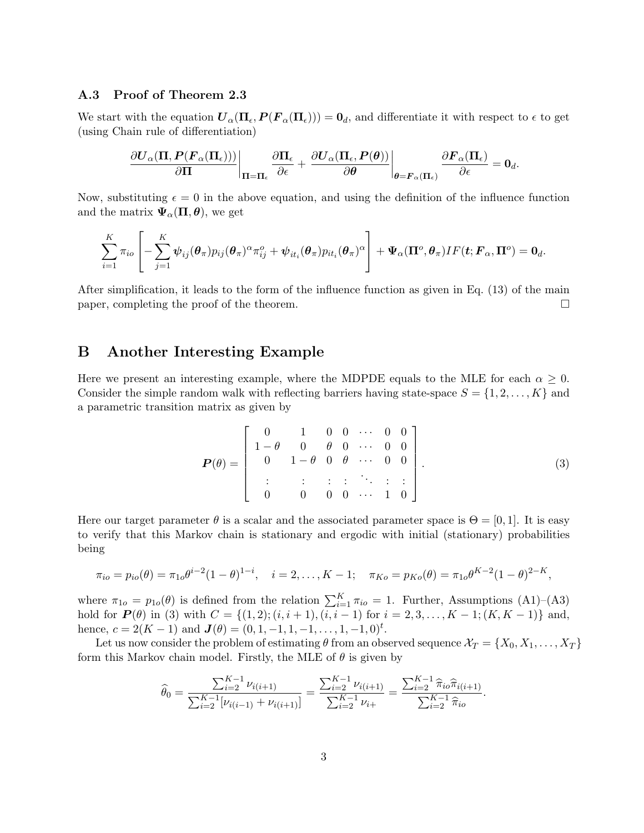## A.3 Proof of Theorem 2.3

We start with the equation  $U_{\alpha}(\Pi_{\epsilon}, P(F_{\alpha}(\Pi_{\epsilon}))) = 0_d$ , and differentiate it with respect to  $\epsilon$  to get (using Chain rule of differentiation)

$$
\left.\frac{\partial \boldsymbol U_{\alpha}(\boldsymbol \Pi, \boldsymbol P(\boldsymbol F_{\alpha}(\boldsymbol \Pi_{\epsilon})))}{\partial \boldsymbol \Pi}\right|_{\boldsymbol \Pi = \boldsymbol \Pi_{\epsilon}}\left.\frac{\partial \boldsymbol \Pi_{\epsilon}}{\partial \epsilon} + \left.\frac{\partial \boldsymbol U_{\alpha}(\boldsymbol \Pi_{\epsilon}, \boldsymbol P(\boldsymbol \theta))}{\partial \boldsymbol \theta}\right|_{\boldsymbol \theta = \boldsymbol F_{\alpha}(\boldsymbol \Pi_{\epsilon})}\frac{\partial \boldsymbol F_{\alpha}(\boldsymbol \Pi_{\epsilon})}{\partial \epsilon} = \mathbf{0}_{d}.
$$

Now, substituting  $\epsilon = 0$  in the above equation, and using the definition of the influence function and the matrix  $\Psi_{\alpha}(\Pi,\theta)$ , we get

$$
\sum_{i=1}^K \pi_{io} \left[ - \sum_{j=1}^K \boldsymbol{\psi}_{ij}(\boldsymbol{\theta}_\pi) p_{ij}(\boldsymbol{\theta}_\pi)^\alpha \pi_{ij}^o + \boldsymbol{\psi}_{it_i}(\boldsymbol{\theta}_\pi) p_{it_i}(\boldsymbol{\theta}_\pi)^\alpha \right] + \boldsymbol{\Psi}_\alpha(\boldsymbol{\Pi}^o, \boldsymbol{\theta}_\pi) IF(\boldsymbol{t}; \boldsymbol{F}_\alpha, \boldsymbol{\Pi}^o) = \boldsymbol{0}_d.
$$

After simplification, it leads to the form of the influence function as given in Eq. (13) of the main paper, completing the proof of the theorem.

## B Another Interesting Example

Here we present an interesting example, where the MDPDE equals to the MLE for each  $\alpha \geq 0$ . Consider the simple random walk with reflecting barriers having state-space  $S = \{1, 2, \ldots, K\}$  and a parametric transition matrix as given by

$$
\boldsymbol{P}(\theta) = \begin{bmatrix} 0 & 1 & 0 & 0 & \cdots & 0 & 0 \\ 1 - \theta & 0 & \theta & 0 & \cdots & 0 & 0 \\ 0 & 1 - \theta & 0 & \theta & \cdots & 0 & 0 \\ \vdots & \vdots & \vdots & \vdots & \ddots & \vdots & \vdots \\ 0 & 0 & 0 & 0 & \cdots & 1 & 0 \end{bmatrix} .
$$
 (3)

Here our target parameter  $\theta$  is a scalar and the associated parameter space is  $\Theta = [0, 1]$ . It is easy to verify that this Markov chain is stationary and ergodic with initial (stationary) probabilities being

$$
\pi_{io} = p_{io}(\theta) = \pi_{1o}\theta^{i-2}(1-\theta)^{1-i}, \quad i = 2,\ldots, K-1; \quad \pi_{Ko} = p_{Ko}(\theta) = \pi_{1o}\theta^{K-2}(1-\theta)^{2-K},
$$

where  $\pi_{1o} = p_{1o}(\theta)$  is defined from the relation  $\sum_{i=1}^{K} \pi_{io} = 1$ . Further, Assumptions (A1)–(A3) hold for  $P(\theta)$  in (3) with  $C = \{(1, 2); (i, i + 1), (i, i - 1) \text{ for } i = 2, 3, ..., K - 1; (K, K - 1)\}\$ and, hence,  $c = 2(K - 1)$  and  $\mathbf{J}(\theta) = (0, 1, -1, 1, -1, \dots, 1, -1, 0)^t$ .

Let us now consider the problem of estimating  $\theta$  from an observed sequence  $\mathcal{X}_T = \{X_0, X_1, \ldots, X_T\}$ form this Markov chain model. Firstly, the MLE of  $\theta$  is given by

$$
\widehat{\theta}_0 = \frac{\sum_{i=2}^{K-1} \nu_{i(i+1)}}{\sum_{i=2}^{K-1} [\nu_{i(i-1)} + \nu_{i(i+1)}]} = \frac{\sum_{i=2}^{K-1} \nu_{i(i+1)}}{\sum_{i=2}^{K-1} \nu_{i+}} = \frac{\sum_{i=2}^{K-1} \widehat{\pi}_{io} \widehat{\pi}_{i(i+1)}}{\sum_{i=2}^{K-1} \widehat{\pi}_{io}}.
$$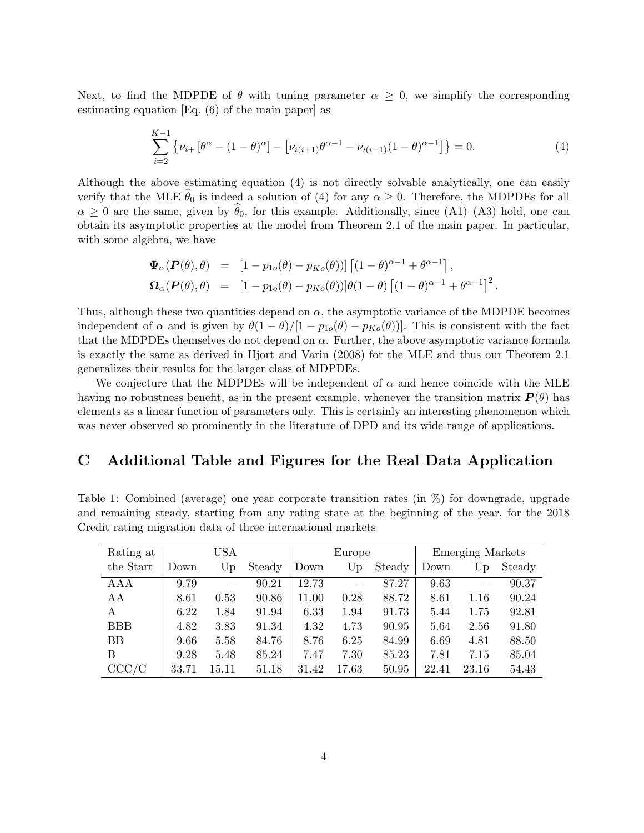Next, to find the MDPDE of  $\theta$  with tuning parameter  $\alpha \geq 0$ , we simplify the corresponding estimating equation [Eq. (6) of the main paper] as

$$
\sum_{i=2}^{K-1} \left\{ \nu_{i+} \left[ \theta^{\alpha} - (1 - \theta)^{\alpha} \right] - \left[ \nu_{i(i+1)} \theta^{\alpha - 1} - \nu_{i(i-1)} (1 - \theta)^{\alpha - 1} \right] \right\} = 0.
$$
 (4)

Although the above estimating equation (4) is not directly solvable analytically, one can easily verify that the MLE  $\hat{\theta}_0$  is indeed a solution of (4) for any  $\alpha \geq 0$ . Therefore, the MDPDEs for all  $\alpha \geq 0$  are the same, given by  $\theta_0$ , for this example. Additionally, since (A1)–(A3) hold, one can obtain its asymptotic properties at the model from Theorem 2.1 of the main paper. In particular, with some algebra, we have

$$
\begin{array}{rcl}\n\boldsymbol{\Psi}_{\alpha}(\boldsymbol{P}(\theta),\theta) & = & \left[1 - p_{1o}(\theta) - p_{Ko}(\theta)\right) \left[\left(1 - \theta\right)^{\alpha - 1} + \theta^{\alpha - 1}\right], \\
\boldsymbol{\Omega}_{\alpha}(\boldsymbol{P}(\theta),\theta) & = & \left[1 - p_{1o}(\theta) - p_{Ko}(\theta)\right] \left[\theta(1 - \theta)\left[(1 - \theta)^{\alpha - 1} + \theta^{\alpha - 1}\right]\right]^2.\n\end{array}
$$

Thus, although these two quantities depend on  $\alpha$ , the asymptotic variance of the MDPDE becomes independent of  $\alpha$  and is given by  $\theta(1-\theta)/[1-p_{1o}(\theta)-p_{Ko}(\theta)]$ . This is consistent with the fact that the MDPDEs themselves do not depend on  $\alpha$ . Further, the above asymptotic variance formula is exactly the same as derived in Hjort and Varin (2008) for the MLE and thus our Theorem 2.1 generalizes their results for the larger class of MDPDEs.

We conjecture that the MDPDEs will be independent of  $\alpha$  and hence coincide with the MLE having no robustness benefit, as in the present example, whenever the transition matrix  $P(\theta)$  has elements as a linear function of parameters only. This is certainly an interesting phenomenon which was never observed so prominently in the literature of DPD and its wide range of applications.

## C Additional Table and Figures for the Real Data Application

Table 1: Combined (average) one year corporate transition rates (in %) for downgrade, upgrade and remaining steady, starting from any rating state at the beginning of the year, for the 2018 Credit rating migration data of three international markets

| Rating at  | USA   |       |        | Europe |       |        | <b>Emerging Markets</b> |       |        |
|------------|-------|-------|--------|--------|-------|--------|-------------------------|-------|--------|
| the Start  | Down  | Up    | Steady | Down   | Up    | Steady | Down                    | Up    | Steady |
| <b>AAA</b> | 9.79  |       | 90.21  | 12.73  |       | 87.27  | 9.63                    |       | 90.37  |
| AA         | 8.61  | 0.53  | 90.86  | 11.00  | 0.28  | 88.72  | 8.61                    | 1.16  | 90.24  |
| A          | 6.22  | 1.84  | 91.94  | 6.33   | 1.94  | 91.73  | 5.44                    | 1.75  | 92.81  |
| <b>BBB</b> | 4.82  | 3.83  | 91.34  | 4.32   | 4.73  | 90.95  | 5.64                    | 2.56  | 91.80  |
| <b>BB</b>  | 9.66  | 5.58  | 84.76  | 8.76   | 6.25  | 84.99  | 6.69                    | 4.81  | 88.50  |
| B          | 9.28  | 5.48  | 85.24  | 7.47   | 7.30  | 85.23  | 7.81                    | 7.15  | 85.04  |
| CCC/C      | 33.71 | 15.11 | 51.18  | 31.42  | 17.63 | 50.95  | 22.41                   | 23.16 | 54.43  |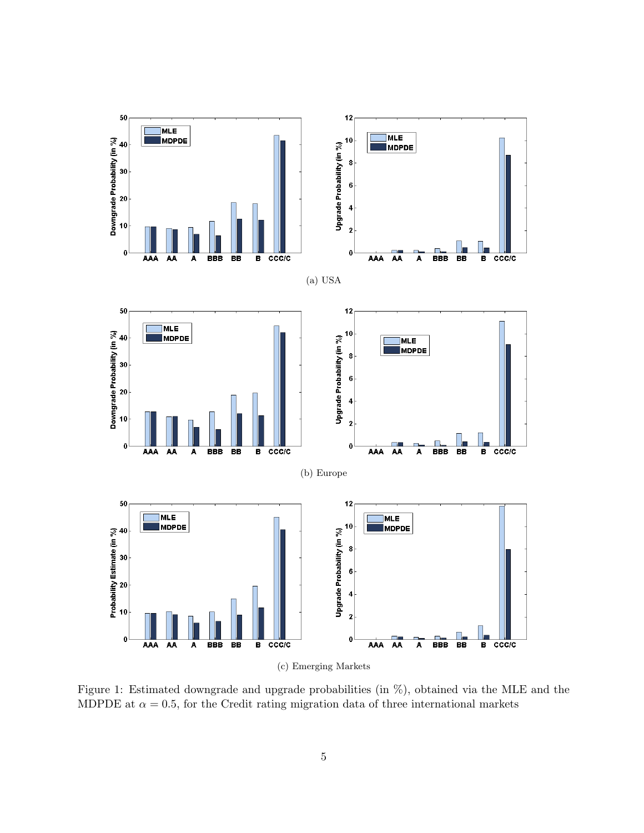

Figure 1: Estimated downgrade and upgrade probabilities (in %), obtained via the MLE and the MDPDE at  $\alpha = 0.5$ , for the Credit rating migration data of three international markets